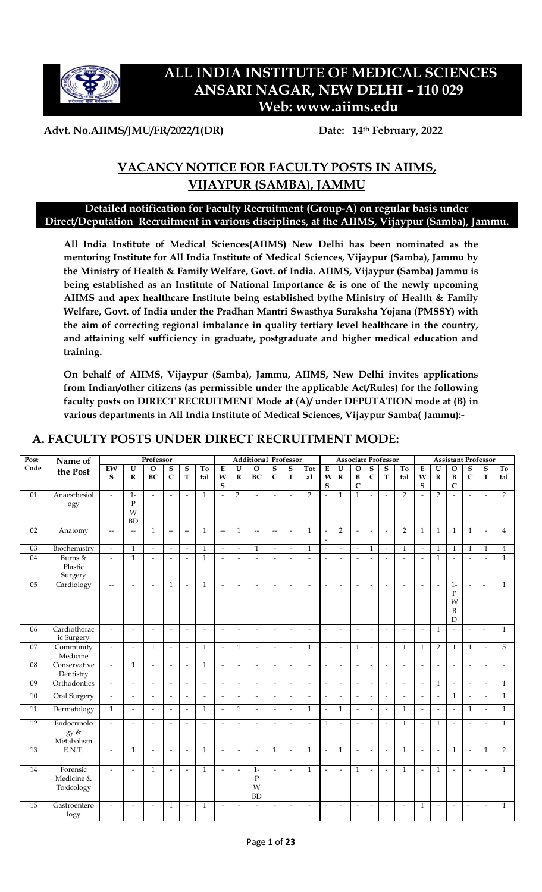

# **ALL INDIA INSTITUTE OF MEDICAL SCIENCES ANSARI NAGAR, NEW DELHI – 110 029 Web: www.aiims.edu**

### **Advt. No.AIIMS/JMU/FR/2022/1(DR) Date: 14th February, 2022**

# **VACANCY NOTICE FOR FACULTY POSTS IN AIIMS, VIJAYPUR (SAMBA), JAMMU**

### **Detailed notification for Faculty Recruitment (Group-A) on regular basis under Direct/Deputation Recruitment in various disciplines, at the AIIMS, Vijaypur (Samba), Jammu.**

**All India Institute of Medical Sciences(AIIMS) New Delhi has been nominated as the mentoring Institute for All India Institute of Medical Sciences, Vijaypur (Samba), Jammu by the Ministry of Health & Family Welfare, Govt. of India. AIIMS, Vijaypur (Samba) Jammu is being established as an Institute of National Importance & is one of the newly upcoming AIIMS and apex healthcare Institute being established bythe Ministry of Health & Family Welfare, Govt. of India under the Pradhan Mantri Swasthya Suraksha Yojana (PMSSY) with the aim of correcting regional imbalance in quality tertiary level healthcare in the country, and attaining self sufficiency in graduate, postgraduate and higher medical education and training.** 

**On behalf of AIIMS, Vijaypur (Samba), Jammu, AIIMS, New Delhi invites applications from Indian/other citizens (as permissible under the applicable Act/Rules) for the following faculty posts on DIRECT RECRUITMENT Mode at (A)/ under DEPUTATION mode at (B) in various departments in All India Institute of Medical Sciences, Vijaypur Samba( Jammu):-**

| Post | Name of      |                             |                          | Professor                |                          |                          |                |                          |                          | <b>Additional Professor</b> |                          |                          |                          |                          |                          |                          |                          | <b>Associate Professor</b> |                          |                          |                          | <b>Assistant Professor</b> |                          |                          |                          |
|------|--------------|-----------------------------|--------------------------|--------------------------|--------------------------|--------------------------|----------------|--------------------------|--------------------------|-----------------------------|--------------------------|--------------------------|--------------------------|--------------------------|--------------------------|--------------------------|--------------------------|----------------------------|--------------------------|--------------------------|--------------------------|----------------------------|--------------------------|--------------------------|--------------------------|
| Code | the Post     | EW                          | U                        | $\Omega$                 | S                        | S                        | To             | $\bf E$                  | $\overline{U}$           | $\Omega$                    | ${\bf S}$                | ${\bf S}$                | Tot                      | E                        | $\mathbf U$              | $\mathbf O$              | ${\bf S}$                | $\mathbf S$                | To                       | E                        | $\overline{\mathbf{U}}$  | $\mathbf O$                | S                        | S                        | To                       |
|      |              | S                           | $\mathbf R$              | <b>BC</b>                | $\mathbf C$              | T                        | tal            | W                        | $\mathbf R$              | BC                          | $\mathbf C$              | $\mathbf T$              | al                       | N                        | $\mathbf R$              | B                        | $\mathsf{C}$             | $\mathbf T$                | tal                      | W                        | $\mathbf R$              | B                          | $\mathbf C$              | T                        | tal                      |
|      |              |                             |                          |                          |                          |                          |                | ${\bf S}$                |                          |                             |                          |                          |                          | S                        |                          | $\mathsf{C}$             |                          |                            |                          | ${\bf S}$                |                          | $\mathsf{C}$               |                          |                          |                          |
| 01   | Anaesthesiol | $\overline{a}$              | $1 -$                    | $\mathbf{r}$             | $\overline{a}$           | $\overline{a}$           | $\mathbf{1}$   | $\overline{a}$           | $\overline{2}$           | $\overline{a}$              | $\overline{\phantom{a}}$ | $\overline{a}$           | $\overline{2}$           |                          | $\mathbf{1}$             | $\mathbf{1}$             | $\overline{a}$           | $\overline{a}$             | $\overline{2}$           |                          | $\overline{2}$           | $\overline{a}$             |                          | $\overline{a}$           | $\overline{2}$           |
|      | ogy          |                             | $\mathbf{P}$             |                          |                          |                          |                |                          |                          |                             |                          |                          |                          |                          |                          |                          |                          |                            |                          |                          |                          |                            |                          |                          |                          |
|      |              |                             | W                        |                          |                          |                          |                |                          |                          |                             |                          |                          |                          |                          |                          |                          |                          |                            |                          |                          |                          |                            |                          |                          |                          |
|      |              |                             | <b>BD</b>                |                          |                          |                          |                |                          |                          |                             |                          |                          |                          |                          |                          |                          |                          |                            |                          |                          |                          |                            |                          |                          |                          |
| 02   |              |                             |                          | $\mathbf{1}$             | $\overline{\phantom{a}}$ | $\overline{\phantom{a}}$ | $\mathbf{1}$   | --                       | $\mathbf{1}$             | $\overline{\phantom{a}}$    | $\overline{\phantom{a}}$ | $\sim$                   | $\mathbf{1}$             |                          | $\overline{2}$           |                          | $\overline{a}$           | $\tilde{\phantom{a}}$      | $\overline{2}$           | $\mathbf{1}$             | $\mathbf{1}$             | $\mathbf{1}$               | $\mathbf{1}$             | $\overline{\phantom{a}}$ | $\overline{4}$           |
|      | Anatomy      | $-$                         | $\overline{\phantom{a}}$ |                          |                          |                          |                |                          |                          |                             |                          |                          |                          |                          |                          | $\overline{\phantom{a}}$ |                          |                            |                          |                          |                          |                            |                          |                          |                          |
|      |              |                             |                          |                          |                          |                          |                |                          |                          |                             |                          |                          |                          |                          |                          |                          |                          |                            |                          |                          |                          |                            |                          |                          |                          |
| 03   | Biochemistry | $\overline{\phantom{a}}$    | $\mathbf{1}$             | $\omega$                 |                          | $\overline{\phantom{a}}$ | $\mathbf{1}$   | $\overline{\phantom{a}}$ | $\overline{\phantom{a}}$ | $\mathbf{1}$                | $\blacksquare$           | $\overline{\phantom{a}}$ | $\mathbf{1}$             |                          | $\overline{\phantom{a}}$ | $\overline{\phantom{a}}$ | $\mathbf{1}$             | $\overline{\phantom{a}}$   | $\mathbf{1}$             | $\overline{\phantom{a}}$ | $\mathbf{1}$             | $\mathbf{1}$               | $\mathbf{1}$             | $\mathbf{1}$             | $\overline{4}$           |
| 04   | Burns &      | $\overline{a}$              | $\mathbf{1}$             | $\overline{a}$           | $\overline{a}$           | $\overline{a}$           | $\mathbf{1}$   | $\overline{a}$           | $\overline{a}$           |                             | $\overline{a}$           | $\overline{a}$           |                          |                          | $\overline{a}$           | $\overline{a}$           | $\overline{a}$           | $\overline{a}$             | $\overline{a}$           | $\overline{a}$           | $\mathbf{1}$             | $\overline{a}$             | $\overline{a}$           | $\overline{a}$           | $\mathbf{1}$             |
|      | Plastic      |                             |                          |                          |                          |                          |                |                          |                          |                             |                          |                          |                          |                          |                          |                          |                          |                            |                          |                          |                          |                            |                          |                          |                          |
|      | Surgery      |                             |                          |                          |                          |                          |                |                          |                          |                             |                          |                          |                          |                          |                          |                          |                          |                            |                          |                          |                          |                            |                          |                          |                          |
| 05   | Cardiology   | $\overline{\phantom{a}}$    | $\overline{a}$           | $\mathbf{r}$             | $\mathbf{1}$             | $\overline{a}$           | $\mathbf{1}$   | $\sim$                   | $\overline{a}$           | $\overline{a}$              | $\overline{\phantom{a}}$ | $\overline{\phantom{a}}$ | $\overline{a}$           |                          | $\overline{\phantom{a}}$ | $\blacksquare$           | $\overline{a}$           | $\overline{a}$             | $\overline{a}$           | $\overline{a}$           | $\overline{\phantom{a}}$ | $1-$                       | $\overline{a}$           | $\overline{\phantom{a}}$ | $\mathbf{1}$             |
|      |              |                             |                          |                          |                          |                          |                |                          |                          |                             |                          |                          |                          |                          |                          |                          |                          |                            |                          |                          |                          | $\mathbf P$                |                          |                          |                          |
|      |              |                             |                          |                          |                          |                          |                |                          |                          |                             |                          |                          |                          |                          |                          |                          |                          |                            |                          |                          |                          | W                          |                          |                          |                          |
|      |              |                             |                          |                          |                          |                          |                |                          |                          |                             |                          |                          |                          |                          |                          |                          |                          |                            |                          |                          |                          | B                          |                          |                          |                          |
|      |              |                             |                          |                          |                          |                          |                |                          |                          |                             |                          |                          |                          |                          |                          |                          |                          |                            |                          |                          |                          | D                          |                          |                          |                          |
| 06   | Cardiothorac | $\blacksquare$              | $\overline{\phantom{a}}$ | $\overline{\phantom{a}}$ | $\overline{\phantom{a}}$ | $\overline{\phantom{a}}$ | $\blacksquare$ | $\tilde{\phantom{a}}$    | $\overline{\phantom{a}}$ | $\overline{\phantom{a}}$    | $\overline{\phantom{a}}$ | $\overline{\phantom{a}}$ | $\overline{\phantom{a}}$ | $\overline{\phantom{a}}$ | $\tilde{\phantom{a}}$    | $\overline{\phantom{a}}$ | $\overline{\phantom{a}}$ | $\overline{\phantom{a}}$   | $\overline{\phantom{a}}$ | $\overline{\phantom{a}}$ | $\mathbf{1}$             | $\overline{a}$             | $\tilde{\phantom{a}}$    | $\blacksquare$           | $\mathbf{1}$             |
|      | ic Surgery   |                             |                          |                          |                          |                          |                |                          |                          |                             |                          |                          |                          |                          |                          |                          |                          |                            |                          |                          |                          |                            |                          |                          |                          |
| 07   | Community    | $\overline{\phantom{a}}$    | $\tilde{\phantom{a}}$    | $\mathbf{1}$             | $\overline{\phantom{a}}$ | $\tilde{\phantom{a}}$    | $\mathbf{1}$   | $\tilde{\phantom{a}}$    | $\mathbf{1}$             | $\blacksquare$              | $\tilde{\phantom{a}}$    | $\sim$                   | $\mathbf{1}$             |                          | $\tilde{\phantom{a}}$    | $\mathbf{1}$             | $\overline{a}$           | $\tilde{\phantom{a}}$      | $\mathbf{1}$             | $\mathbf{1}$             | $\overline{2}$           | $\mathbf{1}$               | $\mathbf{1}$             | $\tilde{\phantom{a}}$    | 5                        |
|      | Medicine     |                             |                          |                          |                          |                          |                |                          |                          |                             |                          |                          |                          |                          |                          |                          |                          |                            |                          |                          |                          |                            |                          |                          |                          |
| 08   | Conservative |                             | $\mathbf{1}$             |                          |                          |                          |                |                          |                          |                             |                          |                          |                          |                          |                          |                          |                          |                            |                          |                          |                          |                            |                          |                          |                          |
|      |              | $\mathbb{L}$                |                          | $\overline{\phantom{a}}$ | $\mathbf{r}$             | $\overline{a}$           | $\mathbf{1}$   | $\overline{\phantom{a}}$ | $\overline{a}$           | $\overline{a}$              | $\overline{\phantom{a}}$ | $\overline{\phantom{a}}$ | $\overline{\phantom{a}}$ |                          | $\overline{a}$           | $\overline{\phantom{a}}$ | $\overline{a}$           | $\overline{\phantom{a}}$   | $\overline{\phantom{a}}$ | $\overline{\phantom{a}}$ | $\overline{a}$           | $\overline{\phantom{a}}$   | $\overline{a}$           | $\overline{\phantom{a}}$ | $\overline{\phantom{a}}$ |
|      | Dentistry    |                             |                          |                          |                          |                          |                |                          |                          |                             |                          |                          |                          |                          |                          |                          |                          |                            |                          |                          |                          |                            |                          |                          |                          |
| 09   | Orthodontics | $\overline{\phantom{a}}$    | $\overline{\phantom{a}}$ | $\mathcal{L}$            | $\overline{\phantom{a}}$ | $\overline{\phantom{a}}$ | $\mathbf{r}$   | $\overline{\phantom{a}}$ | $\overline{\phantom{a}}$ | $\tilde{\phantom{a}}$       | $\sim$                   | $\sim$                   | $\tilde{\phantom{a}}$    | $\overline{a}$           | $\overline{\phantom{a}}$ | $\blacksquare$           | $\tilde{\phantom{a}}$    | $\overline{\phantom{a}}$   | $\mathcal{L}$            | $\overline{\phantom{a}}$ | $\mathbf{1}$             | $\blacksquare$             | $\tilde{\phantom{a}}$    | $\overline{\phantom{a}}$ | $\mathbf{1}$             |
| 10   | Oral Surgery | $\mathcal{L}^{\mathcal{L}}$ | $\sim$                   | $\sim$                   | $\overline{a}$           | $\overline{\phantom{a}}$ | $\sim$         | $\overline{a}$           | $\tilde{\phantom{a}}$    | $\overline{a}$              | $\overline{\phantom{a}}$ | $\tilde{\phantom{a}}$    | $\sim$                   |                          | $\sim$                   | $\blacksquare$           | $\overline{a}$           | $\tilde{\phantom{a}}$      | $\overline{\phantom{a}}$ | $\overline{a}$           | $\overline{\phantom{a}}$ | $\mathbf{1}$               | $\overline{a}$           | $\overline{a}$           | $\mathbf{1}$             |
| 11   | Dermatology  | $\mathbf{1}$                | $\overline{\phantom{a}}$ | $\sim$                   | $\tilde{\phantom{a}}$    | $\overline{\phantom{a}}$ | $\mathbf{1}$   | $\overline{\phantom{a}}$ | $\mathbf{1}$             | $\blacksquare$              | $\overline{\phantom{a}}$ | $\tilde{\phantom{a}}$    | $\mathbf{1}$             |                          | $\mathbf{1}$             | $\mathcal{L}$            | $\overline{\phantom{a}}$ | $\tilde{\phantom{a}}$      | $\mathbf{1}$             | $\tilde{\phantom{a}}$    | $\overline{\phantom{a}}$ | $\overline{\phantom{a}}$   | $\mathbf{1}$             | $\overline{\phantom{a}}$ | $\mathbf{1}$             |
|      |              |                             |                          |                          |                          |                          |                |                          |                          |                             |                          |                          |                          |                          |                          |                          |                          |                            |                          |                          |                          |                            |                          |                          |                          |
| 12   | Endocrinolo  | $\overline{a}$              | $\overline{\phantom{a}}$ | $\overline{\phantom{a}}$ |                          | $\overline{a}$           | $\overline{a}$ | $\overline{a}$           | $\overline{a}$           |                             | $\overline{a}$           | $\overline{a}$           | $\overline{a}$           | $\mathbf{1}$             | $\overline{a}$           | $\tilde{\phantom{a}}$    | $\overline{a}$           | $\overline{a}$             | $\mathbf{1}$             | $\overline{a}$           | $\mathbf{1}$             | $\overline{a}$             |                          | $\overline{a}$           | $\mathbf{1}$             |
|      | gy &         |                             |                          |                          |                          |                          |                |                          |                          |                             |                          |                          |                          |                          |                          |                          |                          |                            |                          |                          |                          |                            |                          |                          |                          |
|      | Metabolism   |                             |                          |                          |                          |                          |                |                          |                          |                             |                          |                          |                          |                          |                          |                          |                          |                            |                          |                          |                          |                            |                          |                          |                          |
| 13   | E.N.T.       | $\overline{\phantom{a}}$    | $\mathbf{1}$             | $\overline{\phantom{a}}$ | $\overline{\phantom{a}}$ | $\overline{\phantom{a}}$ | $\mathbf{1}$   | $\overline{\phantom{a}}$ | $\overline{\phantom{a}}$ | $\overline{\phantom{a}}$    | $\mathbf{1}$             | $\overline{\phantom{a}}$ | $\mathbf{1}$             | $\overline{a}$           | $\mathbf{1}$             | $\overline{\phantom{a}}$ | $\overline{a}$           | $\blacksquare$             | $\,1$                    | $\overline{\phantom{a}}$ | $\overline{\phantom{a}}$ | $\mathbf{1}$               | $\overline{\phantom{a}}$ | $\mathbf{1}$             | $\overline{2}$           |
|      |              |                             |                          |                          |                          |                          |                |                          |                          |                             |                          |                          |                          |                          |                          |                          |                          |                            |                          |                          |                          |                            |                          |                          |                          |
| 14   | Forensic     | $\sim$                      | $\blacksquare$           | $\mathbf{1}$             | $\overline{a}$           | $\tilde{\phantom{a}}$    | $\mathbf{1}$   | $\overline{a}$           | $\overline{a}$           | $1-$                        | $\blacksquare$           | $\sim$                   | $\mathbf{1}$             |                          | $\overline{a}$           | $\mathbf{1}$             | $\overline{a}$           | $\tilde{\phantom{a}}$      | $\mathbf{1}$             | $\overline{a}$           | $\mathbf{1}$             | $\overline{a}$             | $\overline{a}$           | $\tilde{\phantom{a}}$    | $\mathbf{1}$             |
|      | Medicine &   |                             |                          |                          |                          |                          |                |                          |                          | $\mathbf{P}$                |                          |                          |                          |                          |                          |                          |                          |                            |                          |                          |                          |                            |                          |                          |                          |
|      |              |                             |                          |                          |                          |                          |                |                          |                          | W                           |                          |                          |                          |                          |                          |                          |                          |                            |                          |                          |                          |                            |                          |                          |                          |
|      | Toxicology   |                             |                          |                          |                          |                          |                |                          |                          |                             |                          |                          |                          |                          |                          |                          |                          |                            |                          |                          |                          |                            |                          |                          |                          |
|      |              |                             |                          |                          |                          |                          |                |                          |                          | <b>BD</b>                   |                          |                          |                          |                          |                          |                          |                          |                            |                          |                          |                          |                            |                          |                          |                          |
| 15   | Gastroentero | $\overline{a}$              | $\overline{a}$           | $\overline{a}$           | $\mathbf{1}$             | $\overline{\phantom{a}}$ | $\mathbf{1}$   | $\sim$                   | $\overline{a}$           | $\overline{a}$              | $\overline{a}$           | $\sim$                   | $\overline{a}$           | L.                       | $\overline{a}$           | $\overline{\phantom{a}}$ | $\overline{a}$           | $\tilde{\phantom{a}}$      | $\overline{a}$           | $\mathbf{1}$             | $\overline{a}$           | $\overline{\phantom{a}}$   | $\overline{a}$           | $\overline{\phantom{a}}$ | $\mathbf{1}$             |
|      | logy         |                             |                          |                          |                          |                          |                |                          |                          |                             |                          |                          |                          |                          |                          |                          |                          |                            |                          |                          |                          |                            |                          |                          |                          |

### **A. FACULTY POSTS UNDER DIRECT RECRUITMENT MODE:**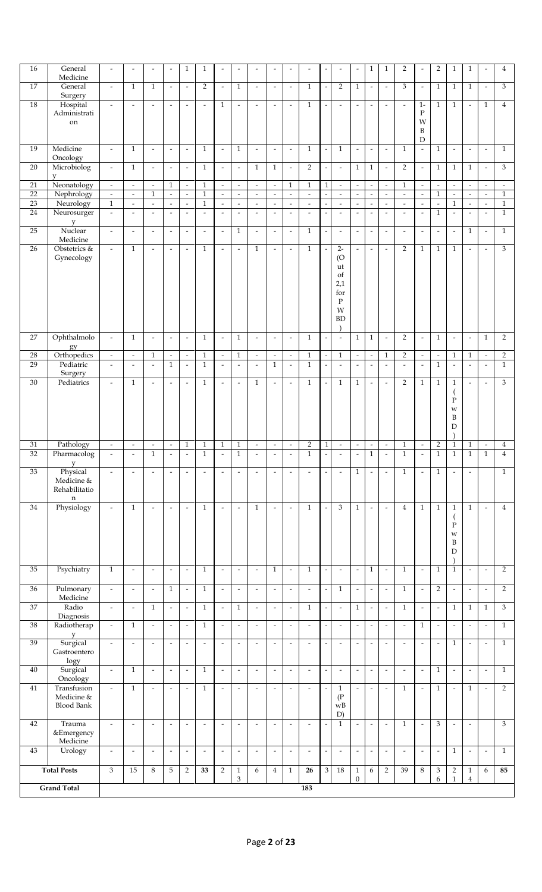| 16              | General                         | $\overline{\phantom{a}}$ | $\overline{\phantom{a}}$ | $\overline{\phantom{a}}$ | $\overline{a}$           | $\mathbf{1}$             | $\mathbf{1}$             | $\overline{a}$           |                          |                          | $\overline{a}$           |                          |                          |                          |                          | $\overline{a}$              | $\mathbf{1}$             | $\mathbf{1}$                | $\overline{2}$           | $\overline{\phantom{a}}$                | $\overline{2}$            | $\mathbf{1}$             | $\mathbf{1}$             | $\overline{a}$           | 4                        |
|-----------------|---------------------------------|--------------------------|--------------------------|--------------------------|--------------------------|--------------------------|--------------------------|--------------------------|--------------------------|--------------------------|--------------------------|--------------------------|--------------------------|--------------------------|--------------------------|-----------------------------|--------------------------|-----------------------------|--------------------------|-----------------------------------------|---------------------------|--------------------------|--------------------------|--------------------------|--------------------------|
|                 | Medicine                        |                          |                          |                          |                          |                          |                          |                          |                          |                          |                          |                          |                          |                          |                          |                             |                          |                             |                          |                                         |                           |                          |                          |                          |                          |
| 17              | General                         | $\overline{\phantom{a}}$ | $\mathbf{1}$             | $\mathbf{1}$             | $\blacksquare$           | $\overline{\phantom{a}}$ | $\overline{2}$           | $\overline{\phantom{a}}$ | $\mathbf{1}$             | $\overline{\phantom{a}}$ | $\overline{\phantom{a}}$ | $\overline{\phantom{a}}$ | $\mathbf{1}$             |                          | $\overline{2}$           | $\mathbf{1}$                | $\overline{\phantom{a}}$ | $\overline{\phantom{a}}$    | 3                        | $\overline{\phantom{a}}$                | $\mathbf{1}$              | $\mathbf{1}$             | $\mathbf{1}$             | $\omega$                 | 3                        |
|                 | Surgery                         |                          |                          |                          |                          |                          |                          |                          |                          |                          |                          |                          |                          |                          |                          |                             |                          |                             |                          |                                         |                           |                          |                          |                          |                          |
| $18\,$          | Hospital                        | $\overline{\phantom{a}}$ | $\frac{1}{2}$            | $\bar{\phantom{a}}$      | $\overline{\phantom{a}}$ | $\overline{\phantom{a}}$ | $\overline{\phantom{a}}$ | $\mathbf{1}$             | $\overline{\phantom{a}}$ | $\overline{\phantom{a}}$ | $\overline{\phantom{a}}$ | $\overline{\phantom{a}}$ | $\mathbf{1}$             |                          | $\bar{\phantom{a}}$      | $\overline{\phantom{a}}$    | $\overline{\phantom{a}}$ | $\overline{\phantom{a}}$    | $\overline{\phantom{a}}$ | $1-$                                    | $\mathbf{1}$              | $\mathbf{1}$             | $\bar{\phantom{a}}$      | $\mathbf{1}$             | $\overline{4}$           |
|                 | Administrati                    |                          |                          |                          |                          |                          |                          |                          |                          |                          |                          |                          |                          |                          |                          |                             |                          |                             |                          | $\rm P$                                 |                           |                          |                          |                          |                          |
|                 | on                              |                          |                          |                          |                          |                          |                          |                          |                          |                          |                          |                          |                          |                          |                          |                             |                          |                             |                          | W                                       |                           |                          |                          |                          |                          |
|                 |                                 |                          |                          |                          |                          |                          |                          |                          |                          |                          |                          |                          |                          |                          |                          |                             |                          |                             |                          | $\, {\bf B}$                            |                           |                          |                          |                          |                          |
| 19              | Medicine                        | $\overline{\phantom{a}}$ | $\mathbf{1}$             | $\overline{\phantom{a}}$ | $\overline{\phantom{a}}$ | $\overline{\phantom{a}}$ | $\mathbf{1}$             |                          | $\mathbf{1}$             |                          | $\overline{\phantom{a}}$ | $\blacksquare$           | $\mathbf{1}$             | $\overline{\phantom{a}}$ | $\mathbf{1}$             | $\blacksquare$              | $\overline{\phantom{a}}$ | $\blacksquare$              | $\mathbf{1}$             | $\mathbf D$<br>$\overline{\phantom{a}}$ | $\mathbf{1}$              | $\overline{\phantom{a}}$ |                          | $\overline{\phantom{a}}$ | $\mathbf{1}$             |
|                 | Oncology                        |                          |                          |                          |                          |                          |                          | $\overline{\phantom{a}}$ |                          | $\overline{\phantom{a}}$ |                          |                          |                          |                          |                          |                             |                          |                             |                          |                                         |                           |                          | $\overline{\phantom{a}}$ |                          |                          |
| $\overline{20}$ | Microbiolog                     | $\omega$                 | $\mathbf{1}$             | $\omega$                 | $\blacksquare$           | $\bar{\phantom{a}}$      | $\overline{1}$           | $\blacksquare$           | $\overline{\phantom{a}}$ | $\mathbf{1}$             | $\mathbf{1}$             | $\overline{\phantom{a}}$ | $\overline{2}$           | L,                       | $\bar{\phantom{a}}$      | $\overline{1}$              | $\mathbf{1}$             | $\overline{\phantom{a}}$    | $\overline{2}$           | $\overline{\phantom{a}}$                | $\mathbf{1}$              | $\mathbf{1}$             | $\mathbf{1}$             | $\omega$                 | 3                        |
|                 | V                               |                          |                          |                          |                          |                          |                          |                          |                          |                          |                          |                          |                          |                          |                          |                             |                          |                             |                          |                                         |                           |                          |                          |                          |                          |
| $\overline{21}$ | Neonatology                     | $\blacksquare$           | $\overline{\phantom{a}}$ | $\blacksquare$           | $\mathbf{1}$             | $\overline{\phantom{a}}$ | $\mathbf{1}$             | $\overline{\phantom{a}}$ | $\overline{\phantom{a}}$ | $\overline{\phantom{a}}$ | $\overline{\phantom{a}}$ | $\mathbf{1}$             | $\mathbf{1}$             | $\mathbf{1}$             | $\overline{\phantom{a}}$ | $\overline{\phantom{a}}$    | $\overline{\phantom{a}}$ | $\overline{\phantom{a}}$    | $\mathbf{1}$             | $\overline{\phantom{a}}$                | $\overline{\phantom{a}}$  | $\blacksquare$           | $\blacksquare$           | $\overline{\phantom{a}}$ | $\overline{\phantom{a}}$ |
| $\overline{22}$ | Nephrology                      | $\blacksquare$           | $\overline{\phantom{a}}$ | $1\,$                    | $\omega$                 | $\omega$                 | $\overline{1}$           | $\sim$                   | $\omega$                 | $\overline{\phantom{a}}$ | $\overline{\phantom{a}}$ | $\omega$                 | $\blacksquare$           | $\sim$                   | $\overline{\phantom{a}}$ | $\mathcal{L}_{\mathcal{A}}$ | $\overline{\phantom{a}}$ | $\omega$                    | $\omega$                 | $\overline{\phantom{a}}$                | $\,1\,$                   | $\omega$                 | $\blacksquare$           | $\overline{\phantom{a}}$ | $\,1$                    |
| 23              | Neurology                       | $\,1\,$                  | $\overline{\phantom{a}}$ | $\omega$                 | $\overline{\phantom{a}}$ | $\overline{\phantom{a}}$ | $\mathbf{1}$             | $\overline{\phantom{a}}$ | $\overline{\phantom{a}}$ | $\overline{\phantom{a}}$ | $\overline{\phantom{a}}$ | $\Box$                   | $\overline{\phantom{a}}$ | $\overline{\phantom{a}}$ | $\overline{\phantom{a}}$ | $\overline{\phantom{a}}$    | $\overline{\phantom{a}}$ | $\overline{\phantom{a}}$    | $\overline{\phantom{a}}$ | $\overline{\phantom{a}}$                | $\frac{1}{2}$             | $\mathbf{1}$             | $\overline{\phantom{a}}$ | $\omega$                 | $\,1$                    |
| 24              | Neurosurger                     | $\overline{\phantom{a}}$ | $\Box$                   | $\sim$                   | $\omega$                 | $\overline{a}$           | $\omega$                 | $\omega$                 | $\overline{\phantom{a}}$ | $\equiv$                 | $\bar{\phantom{a}}$      | $\omega$                 | $\omega$                 | $\overline{\phantom{a}}$ | $\mathbb{Z}^2$           | $\omega$                    | $\omega$                 | $\bar{\phantom{a}}$         | $\omega$                 | $\mathbb{Z}^2$                          | $\mathbf{1}$              | $\omega$                 | $\omega$                 | $\omega$                 | $\mathbf{1}$             |
|                 | y                               |                          |                          |                          |                          |                          |                          |                          |                          |                          |                          |                          |                          |                          |                          |                             |                          |                             |                          |                                         |                           |                          |                          |                          |                          |
| 25              | Nuclear                         | $\overline{\phantom{a}}$ | $\overline{\phantom{a}}$ | $\omega$                 | $\blacksquare$           | $\bar{\phantom{a}}$      | $\omega$                 | $\blacksquare$           | $\mathbf{1}$             | $\overline{\phantom{a}}$ | $\mathbb{Z}$             | $\overline{\phantom{a}}$ | $\mathbf{1}$             | L,                       | $\overline{\phantom{a}}$ | $\blacksquare$              | $\blacksquare$           | $\omega$                    | $\omega$                 | $\overline{\phantom{a}}$                | $\omega$                  | $\sim$                   | $\mathbf{1}$             | $\omega$                 | $\mathbf{1}$             |
|                 | Medicine                        |                          |                          |                          |                          |                          |                          |                          |                          |                          |                          |                          |                          |                          |                          |                             |                          |                             |                          |                                         |                           |                          |                          |                          |                          |
| $\overline{26}$ | Obstetrics &                    | $\omega$                 | $\mathbf{1}$             | $\omega$                 | $\blacksquare$           | $\overline{\phantom{a}}$ | $\mathbf{1}$             | $\blacksquare$           | $\Box$                   | $\mathbf{1}$             | $\overline{\phantom{a}}$ | $\omega$                 | $\mathbf{1}$             | $\overline{\phantom{a}}$ | $2 -$                    | $\blacksquare$              | $\blacksquare$           | $\overline{\phantom{a}}$    | $\overline{2}$           | $\mathbf{1}$                            | $\mathbf{1}$              | $\mathbf{1}$             | $\blacksquare$           | $\omega$                 | $\overline{3}$           |
|                 | Gynecology                      |                          |                          |                          |                          |                          |                          |                          |                          |                          |                          |                          |                          |                          | $\overline{O}$<br>ut     |                             |                          |                             |                          |                                         |                           |                          |                          |                          |                          |
|                 |                                 |                          |                          |                          |                          |                          |                          |                          |                          |                          |                          |                          |                          |                          | of                       |                             |                          |                             |                          |                                         |                           |                          |                          |                          |                          |
|                 |                                 |                          |                          |                          |                          |                          |                          |                          |                          |                          |                          |                          |                          |                          | 2,1                      |                             |                          |                             |                          |                                         |                           |                          |                          |                          |                          |
|                 |                                 |                          |                          |                          |                          |                          |                          |                          |                          |                          |                          |                          |                          |                          | for                      |                             |                          |                             |                          |                                         |                           |                          |                          |                          |                          |
|                 |                                 |                          |                          |                          |                          |                          |                          |                          |                          |                          |                          |                          |                          |                          | $\mathbf P$              |                             |                          |                             |                          |                                         |                           |                          |                          |                          |                          |
|                 |                                 |                          |                          |                          |                          |                          |                          |                          |                          |                          |                          |                          |                          |                          | W                        |                             |                          |                             |                          |                                         |                           |                          |                          |                          |                          |
|                 |                                 |                          |                          |                          |                          |                          |                          |                          |                          |                          |                          |                          |                          |                          | <b>BD</b>                |                             |                          |                             |                          |                                         |                           |                          |                          |                          |                          |
| $27\,$          | Ophthalmolo                     | $\overline{\phantom{a}}$ | $\mathbf{1}$             | $\blacksquare$           | $\overline{\phantom{a}}$ | $\overline{\phantom{a}}$ | $\mathbf{1}$             | $\overline{\phantom{a}}$ | $\mathbf{1}$             | $\overline{\phantom{a}}$ | $\overline{\phantom{a}}$ | $\overline{\phantom{a}}$ | $\mathbf{1}$             | $\overline{\phantom{a}}$ | $\overline{\phantom{a}}$ | $\mathbf{1}$                | $\mathbf{1}$             | $\Box$                      | $\overline{2}$           | $\blacksquare$                          | $\mathbf{1}$              | $\sim$                   | $\overline{\phantom{a}}$ | $\mathbf{1}$             | $\overline{2}$           |
|                 | gy                              |                          |                          |                          |                          |                          |                          |                          |                          |                          |                          |                          |                          |                          |                          |                             |                          |                             |                          |                                         |                           |                          |                          |                          |                          |
| 28              | Orthopedics                     | $\overline{\phantom{a}}$ | $\overline{\phantom{a}}$ | $\mathbf{1}$             | $\overline{\phantom{a}}$ | $\Box$                   | $\mathbf{1}$             | $\overline{\phantom{a}}$ | $\mathbf{1}$             | $\overline{\phantom{a}}$ | $\overline{\phantom{a}}$ | $\overline{\phantom{a}}$ | $\mathbf{1}$             | $\overline{\phantom{a}}$ | $\mathbf{1}$             | $\overline{\phantom{a}}$    | $\overline{\phantom{a}}$ | $\mathbf{1}$                | $\overline{2}$           | $\overline{\phantom{a}}$                | $\overline{\phantom{a}}$  | $\mathbf{1}$             | $\mathbf{1}$             | $\overline{\phantom{a}}$ | $\overline{2}$           |
| 29              | Pediatric                       | $\overline{\phantom{a}}$ | $\overline{\phantom{a}}$ | $\overline{a}$           | $\mathbf{1}$             | $\overline{a}$           | $\mathbf{1}$             | $\blacksquare$           | $\overline{a}$           | $\overline{\phantom{a}}$ | $\mathbf{1}$             | $\sim$                   | $\mathbf{1}$             | $\overline{a}$           | $\overline{a}$           | $\omega$                    | $\sim$                   | $\overline{a}$              | $\mathcal{L}$            | $\blacksquare$                          | $\mathbf{1}$              | $\sim$                   | $\omega$                 | $\ddot{\phantom{a}}$     | $\mathbf{1}$             |
|                 | Surgery                         |                          |                          |                          |                          |                          |                          |                          |                          |                          |                          |                          |                          |                          |                          |                             |                          |                             |                          |                                         |                           |                          |                          |                          |                          |
| $\overline{30}$ | Pediatrics                      | $\omega$                 | $\mathbf{1}$             | $\omega$                 | $\omega$                 | $\bar{\phantom{a}}$      | $\mathbf{1}$             | $\blacksquare$           | $\bar{\phantom{a}}$      | $\mathbf{1}$             | $\mathbb{Z}$             | $\omega$                 | $\mathbf{1}$             | $\overline{\phantom{a}}$ | $\mathbf{1}$             | $\mathbf{1}$                | $\overline{\phantom{a}}$ | $\blacksquare$              | $\overline{2}$           | $\mathbf{1}$                            | $\mathbf{1}$              | $\mathbf{1}$             | $\overline{\phantom{a}}$ | $\omega$                 | 3                        |
|                 |                                 |                          |                          |                          |                          |                          |                          |                          |                          |                          |                          |                          |                          |                          |                          |                             |                          |                             |                          |                                         |                           |                          |                          |                          |                          |
|                 |                                 |                          |                          |                          |                          |                          |                          |                          |                          |                          |                          |                          |                          |                          |                          |                             |                          |                             |                          |                                         |                           | $\mathbf P$              |                          |                          |                          |
|                 |                                 |                          |                          |                          |                          |                          |                          |                          |                          |                          |                          |                          |                          |                          |                          |                             |                          |                             |                          |                                         |                           | W<br>B                   |                          |                          |                          |
|                 |                                 |                          |                          |                          |                          |                          |                          |                          |                          |                          |                          |                          |                          |                          |                          |                             |                          |                             |                          |                                         |                           | D                        |                          |                          |                          |
|                 |                                 |                          |                          |                          |                          |                          |                          |                          |                          |                          |                          |                          |                          |                          |                          |                             |                          |                             |                          |                                         |                           |                          |                          |                          |                          |
| 31              | Pathology                       | $\overline{\phantom{a}}$ | $\overline{\phantom{a}}$ | $\blacksquare$           | $\overline{\phantom{a}}$ | $\mathbf{1}$             | $\mathbf{1}$             | $\mathbf{1}$             | $\mathbf{1}$             | $\blacksquare$           | $\blacksquare$           | $\overline{\phantom{a}}$ | $\overline{2}$           | $\overline{1}$           | $\Box$                   | $\blacksquare$              | $\overline{\phantom{a}}$ | $\blacksquare$              | $\mathbf{1}$             | $\overline{\phantom{a}}$                | $\sqrt{2}$                | $\mathbf{1}$             | $\mathbf{1}$             | $\blacksquare$           | $\overline{\mathbf{4}}$  |
| 32              | Pharmacolog                     | $\overline{\phantom{a}}$ | $\omega$                 | $\overline{1}$           | $\overline{\phantom{a}}$ | $\Box$                   | $\overline{1}$           | $\omega$                 | $\overline{1}$           | $\blacksquare$           | $\blacksquare$           | $\overline{\phantom{a}}$ | $\mathbf{1}$             | $\omega$                 | $\sim$                   | $\sim$                      | $\overline{1}$           | $\mathcal{L}_{\mathcal{A}}$ | $\,1\,$                  | $\overline{\phantom{a}}$                | $\overline{1}$            | $\,1\,$                  | $\overline{1}$           | $\,1\,$                  | $\overline{4}$           |
|                 | y                               |                          |                          |                          |                          |                          |                          |                          |                          |                          |                          |                          |                          |                          |                          |                             |                          |                             |                          |                                         |                           |                          |                          |                          |                          |
| $\overline{33}$ | Physical                        | $\overline{\phantom{a}}$ | $\overline{\phantom{a}}$ | $\overline{\phantom{a}}$ | $\overline{\phantom{a}}$ | $\overline{\phantom{a}}$ | $\overline{\phantom{a}}$ | $\overline{\phantom{a}}$ | $\overline{a}$           | $\overline{a}$           | $\overline{\phantom{a}}$ | $\overline{\phantom{a}}$ | $\overline{a}$           | $\overline{\phantom{a}}$ | $\overline{\phantom{a}}$ | $\mathbf{1}$                | $\overline{\phantom{a}}$ | $\overline{\phantom{a}}$    | $\mathbf{1}$             | $\overline{\phantom{a}}$                | $\mathbf{1}$              | $\overline{\phantom{a}}$ | $\overline{\phantom{a}}$ |                          | $\mathbf{1}$             |
|                 | Medicine &<br>Rehabilitatio     |                          |                          |                          |                          |                          |                          |                          |                          |                          |                          |                          |                          |                          |                          |                             |                          |                             |                          |                                         |                           |                          |                          |                          |                          |
|                 | $\mathbf n$                     |                          |                          |                          |                          |                          |                          |                          |                          |                          |                          |                          |                          |                          |                          |                             |                          |                             |                          |                                         |                           |                          |                          |                          |                          |
| 34              | Physiology                      | $\overline{\phantom{a}}$ | $\mathbf{1}$             | $\overline{\phantom{a}}$ | $\overline{\phantom{a}}$ | $\overline{\phantom{a}}$ | $\mathbf{1}$             | $\overline{\phantom{a}}$ | $\overline{\phantom{a}}$ | $\mathbf{1}$             | $\overline{\phantom{a}}$ | $\blacksquare$           | $\mathbf{1}$             | $\overline{\phantom{a}}$ | 3                        | $\mathbf{1}$                | $\overline{\phantom{a}}$ | $\overline{\phantom{a}}$    | $\overline{4}$           | $\mathbf{1}$                            | $\mathbf{1}$              | $\mathbf{1}$             | $\mathbf{1}$             | $\overline{\phantom{a}}$ | $\overline{4}$           |
|                 |                                 |                          |                          |                          |                          |                          |                          |                          |                          |                          |                          |                          |                          |                          |                          |                             |                          |                             |                          |                                         |                           | $\overline{(\ }$         |                          |                          |                          |
|                 |                                 |                          |                          |                          |                          |                          |                          |                          |                          |                          |                          |                          |                          |                          |                          |                             |                          |                             |                          |                                         |                           | P                        |                          |                          |                          |
|                 |                                 |                          |                          |                          |                          |                          |                          |                          |                          |                          |                          |                          |                          |                          |                          |                             |                          |                             |                          |                                         |                           | W                        |                          |                          |                          |
|                 |                                 |                          |                          |                          |                          |                          |                          |                          |                          |                          |                          |                          |                          |                          |                          |                             |                          |                             |                          |                                         |                           | $\, {\bf B}$             |                          |                          |                          |
|                 |                                 |                          |                          |                          |                          |                          |                          |                          |                          |                          |                          |                          |                          |                          |                          |                             |                          |                             |                          |                                         |                           | D                        |                          |                          |                          |
| 35              | Psychiatry                      | $\mathbf{1}$             | $\overline{\phantom{a}}$ | $\overline{\phantom{a}}$ | $\overline{\phantom{a}}$ | $\overline{\phantom{a}}$ | $\mathbf{1}$             | $\overline{\phantom{a}}$ | $\frac{1}{2}$            | $\overline{\phantom{a}}$ | $\mathbf{1}$             | $\omega$                 | $\mathbf{1}$             | $\overline{\phantom{a}}$ | $\overline{\phantom{a}}$ | $\overline{\phantom{a}}$    | $\,1\,$                  | $\bar{\phantom{a}}$         | $\mathbf{1}$             | $\blacksquare$                          | $\mathbf{1}$              | $\mathbf{1}$             | $\overline{\phantom{a}}$ | $\overline{\phantom{a}}$ | $\overline{2}$           |
|                 |                                 |                          |                          |                          |                          |                          |                          |                          |                          |                          |                          |                          |                          |                          |                          |                             |                          |                             |                          |                                         |                           |                          |                          |                          |                          |
| $\overline{36}$ | Pulmonary                       |                          |                          |                          |                          |                          |                          | $\overline{\phantom{a}}$ | $\overline{\phantom{a}}$ | $\overline{\phantom{a}}$ | $\overline{\phantom{a}}$ | $\overline{\phantom{a}}$ | $\overline{\phantom{a}}$ | $\overline{a}$           | $\mathbf{1}$             | $\overline{\phantom{a}}$    | $\overline{\phantom{a}}$ | $\overline{\phantom{a}}$    | $\mathbf{1}$             | $\overline{\phantom{a}}$                | $\overline{2}$            | $\overline{\phantom{a}}$ | $\overline{\phantom{a}}$ | $\overline{\phantom{a}}$ | $\overline{2}$           |
|                 |                                 |                          |                          |                          |                          |                          |                          |                          |                          |                          |                          |                          |                          |                          |                          |                             |                          |                             |                          |                                         |                           |                          |                          |                          |                          |
|                 |                                 | $\overline{\phantom{a}}$ | $\overline{\phantom{a}}$ | $\overline{\phantom{a}}$ | $\mathbf{1}$             | $\overline{\phantom{a}}$ | $\mathbf{1}$             |                          |                          |                          |                          |                          |                          |                          |                          |                             |                          |                             |                          |                                         |                           |                          |                          |                          |                          |
| $\overline{37}$ | Medicine<br>Radio               | $\overline{\phantom{a}}$ | $\overline{\phantom{a}}$ | $\mathbf{1}$             | $\overline{\phantom{a}}$ | $\overline{\phantom{a}}$ | $\mathbf{1}$             | $\overline{\phantom{a}}$ | $\,1\,$                  | $\overline{\phantom{a}}$ | $\overline{\phantom{a}}$ | $\overline{\phantom{a}}$ | $\mathbf{1}$             | $\overline{\phantom{a}}$ | $\overline{\phantom{a}}$ | $\,1$                       | $\blacksquare$           | $\overline{\phantom{a}}$    | $\,1\,$                  | $\overline{\phantom{a}}$                | $\overline{\phantom{a}}$  | $\mathbf{1}$             | $\overline{1}$           | $\mathbf{1}$             | 3                        |
|                 | Diagnosis                       |                          |                          |                          |                          |                          |                          |                          |                          |                          |                          |                          |                          |                          |                          |                             |                          |                             |                          |                                         |                           |                          |                          |                          |                          |
| 38              | Radiotherap                     | $\overline{\phantom{a}}$ | $\mathbf{1}$             | $\overline{\phantom{a}}$ | $\blacksquare$           | $\Box$                   | $1\,$                    | $\overline{\phantom{a}}$ | $\overline{\phantom{a}}$ | $\overline{\phantom{a}}$ | $\overline{\phantom{a}}$ | $\overline{\phantom{a}}$ | $\overline{\phantom{a}}$ | $\overline{\phantom{a}}$ | $\overline{\phantom{a}}$ | $\blacksquare$              | $\overline{\phantom{a}}$ | $\Box$                      | $\blacksquare$           | $\mathbf{1}$                            | $\overline{\phantom{a}}$  | $\overline{\phantom{a}}$ | $\overline{\phantom{a}}$ | $\overline{\phantom{a}}$ | $\mathbf{1}$             |
|                 | у                               |                          |                          |                          |                          |                          |                          |                          |                          |                          |                          |                          |                          |                          |                          |                             |                          |                             |                          |                                         |                           |                          |                          |                          |                          |
| 39              | Surgical                        | $\omega$                 | $\overline{\phantom{a}}$ | $\omega$                 | $\omega$                 | $\overline{\phantom{a}}$ | $\omega$                 | $\blacksquare$           | $\overline{\phantom{a}}$ | $\overline{\phantom{a}}$ | $\mathbb{Z}$             | $\overline{\phantom{a}}$ | $\blacksquare$           | L,                       | $\overline{\phantom{a}}$ | $\omega$                    | $\overline{\phantom{a}}$ | $\overline{\phantom{a}}$    | $\omega$                 | $\overline{\phantom{a}}$                | $\overline{\phantom{a}}$  | $\mathbf{1}$             | $\overline{\phantom{a}}$ | $\ddot{\phantom{a}}$     | $\mathbf{1}$             |
|                 | Gastroentero                    |                          |                          |                          |                          |                          |                          |                          |                          |                          |                          |                          |                          |                          |                          |                             |                          |                             |                          |                                         |                           |                          |                          |                          |                          |
|                 | logy                            |                          |                          |                          |                          |                          |                          |                          |                          |                          |                          |                          |                          |                          |                          |                             |                          |                             |                          |                                         |                           |                          |                          |                          |                          |
| $40\,$          | Surgical                        | $\overline{\phantom{a}}$ | $\mathbf{1}$             | $\mathbb{Z}^2$           | $\Box$                   | $\overline{a}$           | $\mathbf{1}$             | $\omega$                 | $\overline{a}$           | $\overline{\phantom{a}}$ | $\sim$                   | $\omega$                 | $\bar{\phantom{a}}$      | $\overline{a}$           | $\bar{\phantom{a}}$      | $\omega$                    | $\overline{\phantom{a}}$ | $\mathbb{Z}^2$              | $\mathbb{Z}^2$           | $\overline{a}$                          | $\mathbf{1}$              | $\sim$                   | $\overline{a}$           | $\ddot{\phantom{a}}$     | $\mathbf{1}$             |
|                 | Oncology                        | $\blacksquare$           |                          | $\omega$                 | $\blacksquare$           | $\overline{\phantom{a}}$ |                          | $\blacksquare$           |                          | $\overline{\phantom{a}}$ |                          | $\overline{\phantom{a}}$ | $\overline{\phantom{a}}$ |                          |                          | $\blacksquare$              |                          | $\overline{\phantom{a}}$    |                          | $\overline{\phantom{a}}$                |                           | $\sim$                   |                          | $\omega$                 |                          |
| 41              | Transfusion                     |                          | $\mathbf{1}$             |                          |                          |                          | $\mathbf{1}$             |                          | $\overline{\phantom{a}}$ |                          | $\overline{\phantom{a}}$ |                          |                          |                          | $\mathbf{1}$             |                             | $\overline{\phantom{a}}$ |                             | $\mathbf{1}$             |                                         | $\mathbf{1}$              |                          | $\mathbf{1}$             |                          | $\overline{2}$           |
|                 | Medicine &<br><b>Blood Bank</b> |                          |                          |                          |                          |                          |                          |                          |                          |                          |                          |                          |                          |                          | $($ P<br>${\bf wB}$      |                             |                          |                             |                          |                                         |                           |                          |                          |                          |                          |
|                 |                                 |                          |                          |                          |                          |                          |                          |                          |                          |                          |                          |                          |                          |                          | D)                       |                             |                          |                             |                          |                                         |                           |                          |                          |                          |                          |
| 42              | Trauma                          | $\overline{\phantom{a}}$ | $\overline{\phantom{a}}$ | $\overline{\phantom{a}}$ | $\overline{\phantom{a}}$ | $\overline{\phantom{a}}$ | $\overline{\phantom{a}}$ | $\overline{\phantom{a}}$ | $\overline{\phantom{a}}$ | $\sim$                   | $\overline{\phantom{a}}$ | $\blacksquare$           | $\overline{\phantom{a}}$ | $\overline{\phantom{a}}$ | $\mathbf{1}$             | $\overline{\phantom{a}}$    | $\overline{\phantom{a}}$ | $\blacksquare$              | $\mathbf{1}$             | $\overline{\phantom{a}}$                | 3                         | $\overline{\phantom{a}}$ | $\overline{\phantom{a}}$ |                          | 3                        |
|                 | &Emergency                      |                          |                          |                          |                          |                          |                          |                          |                          |                          |                          |                          |                          |                          |                          |                             |                          |                             |                          |                                         |                           |                          |                          |                          |                          |
|                 | Medicine                        |                          |                          |                          |                          |                          |                          |                          |                          |                          |                          |                          |                          |                          |                          |                             |                          |                             |                          |                                         |                           |                          |                          |                          |                          |
| 43              | Urology                         | $\overline{\phantom{a}}$ | $\overline{\phantom{a}}$ | $\overline{\phantom{a}}$ | $\overline{\phantom{a}}$ | $\overline{\phantom{a}}$ | $\overline{\phantom{a}}$ | $\overline{\phantom{a}}$ | $\overline{\phantom{a}}$ | $\overline{\phantom{a}}$ | $\overline{\phantom{a}}$ | $\overline{\phantom{a}}$ | $\overline{\phantom{a}}$ | $\overline{\phantom{a}}$ | $\overline{\phantom{a}}$ | $\overline{\phantom{a}}$    | $\overline{\phantom{a}}$ | $\overline{\phantom{a}}$    | $\blacksquare$           | $\overline{\phantom{a}}$                | $\overline{\phantom{a}}$  | $\mathbf{1}$             | $\overline{\phantom{a}}$ | $\omega$                 | $\mathbf{1}$             |
|                 |                                 |                          |                          |                          |                          |                          |                          |                          |                          |                          |                          |                          |                          |                          |                          |                             |                          |                             |                          |                                         |                           |                          |                          |                          |                          |
|                 | <b>Total Posts</b>              | 3                        | 15                       | $\,8\,$                  | 5                        | $\overline{2}$           | 33                       | $\overline{2}$           | $\mathbf 1$              | 6                        | $\overline{4}$           | $\mathbf{1}$             | 26                       | $\overline{3}$           | $\overline{18}$          | $\mathbf 1$                 | 6                        | $\overline{2}$              | 39                       | $\,$ 8 $\,$                             | $\ensuremath{\mathbf{3}}$ | $\overline{2}$           | $\mathbf{1}$             | 6                        | 85                       |
|                 | <b>Grand Total</b>              |                          |                          |                          |                          |                          |                          |                          | $\mathfrak{Z}$           |                          |                          |                          | 183                      |                          |                          | $\boldsymbol{0}$            |                          |                             |                          |                                         | 6                         | $\mathbf{1}$             | $\overline{4}$           |                          |                          |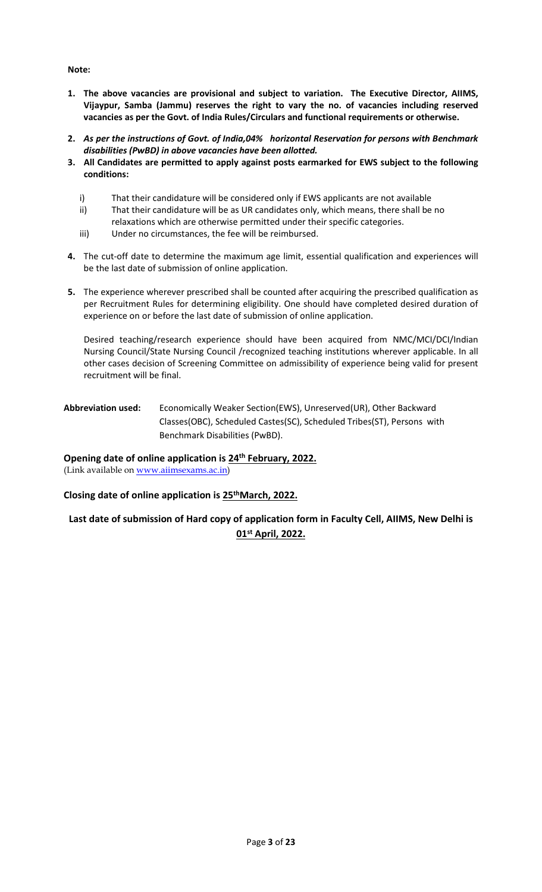#### **Note:**

- **1. The above vacancies are provisional and subject to variation. The Executive Director, AIIMS, Vijaypur, Samba (Jammu) reserves the right to vary the no. of vacancies including reserved vacancies as per the Govt. of India Rules/Circulars and functional requirements or otherwise.**
- **2.** *As per the instructions of Govt. of India,04% horizontal Reservation for persons with Benchmark disabilities (PwBD) in above vacancies have been allotted.*
- **3. All Candidates are permitted to apply against posts earmarked for EWS subject to the following conditions:**
	- i) That their candidature will be considered only if EWS applicants are not available
	- ii) That their candidature will be as UR candidates only, which means, there shall be no
	- relaxations which are otherwise permitted under their specific categories.
	- iii) Under no circumstances, the fee will be reimbursed.
- **4.** The cut-off date to determine the maximum age limit, essential qualification and experiences will be the last date of submission of online application.
- **5.** The experience wherever prescribed shall be counted after acquiring the prescribed qualification as per Recruitment Rules for determining eligibility. One should have completed desired duration of experience on or before the last date of submission of online application.

Desired teaching/research experience should have been acquired from NMC/MCI/DCI/Indian Nursing Council/State Nursing Council /recognized teaching institutions wherever applicable. In all other cases decision of Screening Committee on admissibility of experience being valid for present recruitment will be final.

### **Abbreviation used:** Economically Weaker Section(EWS), Unreserved(UR), Other Backward Classes(OBC), Scheduled Castes(SC), Scheduled Tribes(ST), Persons with Benchmark Disabilities (PwBD).

### **Opening date of online application is 24th February, 2022.**

(Link available on [www.aiimsexams.ac.in\)](http://www.aiimsexams.ac.in/)

### **Closing date of online application is 25thMarch, 2022.**

### **Last date of submission of Hard copy of application form in Faculty Cell, AIIMS, New Delhi is 01st April, 2022.**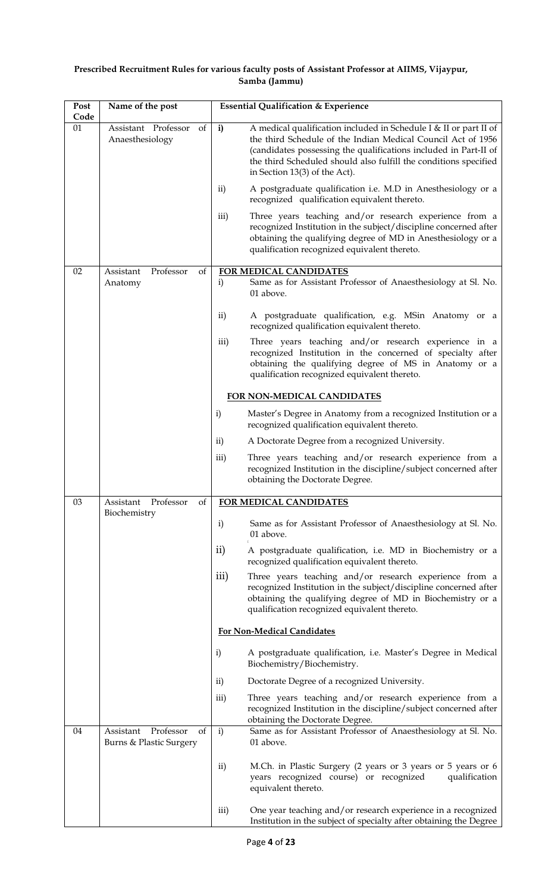### **Prescribed Recruitment Rules for various faculty posts of Assistant Professor at AIIMS, Vijaypur, Samba (Jammu)**

| Post<br>Code | Name of the post                                        | <b>Essential Qualification &amp; Experience</b>                                                                                                                                                                                                                                                                              |
|--------------|---------------------------------------------------------|------------------------------------------------------------------------------------------------------------------------------------------------------------------------------------------------------------------------------------------------------------------------------------------------------------------------------|
| 01           | Assistant Professor<br>of<br>Anaesthesiology            | A medical qualification included in Schedule I & II or part II of<br>$\mathbf{i}$<br>the third Schedule of the Indian Medical Council Act of 1956<br>(candidates possessing the qualifications included in Part-II of<br>the third Scheduled should also fulfill the conditions specified<br>in Section $13(3)$ of the Act). |
|              |                                                         | $\rm ii)$<br>A postgraduate qualification i.e. M.D in Anesthesiology or a<br>recognized qualification equivalent thereto.                                                                                                                                                                                                    |
|              |                                                         | Three years teaching and/or research experience from a<br>iii)<br>recognized Institution in the subject/discipline concerned after<br>obtaining the qualifying degree of MD in Anesthesiology or a<br>qualification recognized equivalent thereto.                                                                           |
| 02           | Professor<br>of<br>Assistant<br>Anatomy                 | FOR MEDICAL CANDIDATES<br>i)<br>Same as for Assistant Professor of Anaesthesiology at Sl. No.<br>01 above.                                                                                                                                                                                                                   |
|              |                                                         | $\mathbf{ii}$<br>A postgraduate qualification, e.g. MSin Anatomy or a<br>recognized qualification equivalent thereto.                                                                                                                                                                                                        |
|              |                                                         | Three years teaching and/or research experience in a<br>iii)<br>recognized Institution in the concerned of specialty after<br>obtaining the qualifying degree of MS in Anatomy or a<br>qualification recognized equivalent thereto.                                                                                          |
|              |                                                         | FOR NON-MEDICAL CANDIDATES                                                                                                                                                                                                                                                                                                   |
|              |                                                         | Master's Degree in Anatomy from a recognized Institution or a<br>$\mathbf{i}$<br>recognized qualification equivalent thereto.                                                                                                                                                                                                |
|              |                                                         | A Doctorate Degree from a recognized University.<br>$\rm ii)$                                                                                                                                                                                                                                                                |
|              |                                                         | Three years teaching and/or research experience from a<br>$\overline{\text{iii}}$<br>recognized Institution in the discipline/subject concerned after<br>obtaining the Doctorate Degree.                                                                                                                                     |
| 03           | Professor<br>Assistant<br>of                            | FOR MEDICAL CANDIDATES                                                                                                                                                                                                                                                                                                       |
|              | Biochemistry                                            | $\mathbf{i}$<br>Same as for Assistant Professor of Anaesthesiology at Sl. No.<br>01 above.                                                                                                                                                                                                                                   |
|              |                                                         | $\rm ii)$<br>A postgraduate qualification, i.e. MD in Biochemistry or a<br>recognized qualification equivalent thereto.                                                                                                                                                                                                      |
|              |                                                         | iii)<br>Three years teaching and/or research experience from a<br>recognized Institution in the subject/discipline concerned after<br>obtaining the qualifying degree of MD in Biochemistry or a<br>qualification recognized equivalent thereto.                                                                             |
|              |                                                         | <b>For Non-Medical Candidates</b>                                                                                                                                                                                                                                                                                            |
|              |                                                         | $\mathbf{i}$<br>A postgraduate qualification, i.e. Master's Degree in Medical<br>Biochemistry/Biochemistry.                                                                                                                                                                                                                  |
|              |                                                         | $\mathbf{ii}$<br>Doctorate Degree of a recognized University.                                                                                                                                                                                                                                                                |
|              |                                                         | Three years teaching and/or research experience from a<br>$\overline{\text{iii}}$<br>recognized Institution in the discipline/subject concerned after<br>obtaining the Doctorate Degree.                                                                                                                                     |
| 04           | Assistant<br>Professor<br>of<br>Burns & Plastic Surgery | i)<br>Same as for Assistant Professor of Anaesthesiology at Sl. No.<br>01 above.                                                                                                                                                                                                                                             |
|              |                                                         | $\mathbf{ii}$<br>M.Ch. in Plastic Surgery (2 years or 3 years or 5 years or 6<br>years recognized course) or recognized<br>qualification<br>equivalent thereto.                                                                                                                                                              |
|              |                                                         | One year teaching and/or research experience in a recognized<br>iii)<br>Institution in the subject of specialty after obtaining the Degree                                                                                                                                                                                   |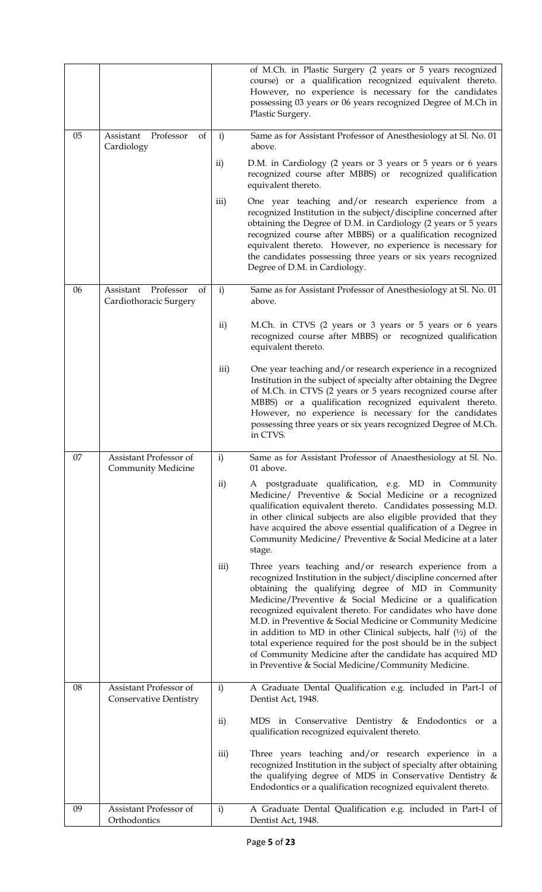|    |                                                     |               | of M.Ch. in Plastic Surgery (2 years or 5 years recognized<br>course) or a qualification recognized equivalent thereto.<br>However, no experience is necessary for the candidates<br>possessing 03 years or 06 years recognized Degree of M.Ch in<br>Plastic Surgery.                                                                                                                                                                                                                                                                                                                                                                 |
|----|-----------------------------------------------------|---------------|---------------------------------------------------------------------------------------------------------------------------------------------------------------------------------------------------------------------------------------------------------------------------------------------------------------------------------------------------------------------------------------------------------------------------------------------------------------------------------------------------------------------------------------------------------------------------------------------------------------------------------------|
| 05 | Assistant Professor<br>of<br>Cardiology             | i)            | Same as for Assistant Professor of Anesthesiology at Sl. No. 01<br>above.                                                                                                                                                                                                                                                                                                                                                                                                                                                                                                                                                             |
|    |                                                     | $\rm ii)$     | D.M. in Cardiology (2 years or 3 years or 5 years or 6 years<br>recognized course after MBBS) or recognized qualification<br>equivalent thereto.                                                                                                                                                                                                                                                                                                                                                                                                                                                                                      |
|    |                                                     | iii)          | One year teaching and/or research experience from a<br>recognized Institution in the subject/discipline concerned after<br>obtaining the Degree of D.M. in Cardiology (2 years or 5 years<br>recognized course after MBBS) or a qualification recognized<br>equivalent thereto. However, no experience is necessary for<br>the candidates possessing three years or six years recognized<br>Degree of D.M. in Cardiology.                                                                                                                                                                                                             |
| 06 | Assistant Professor<br>of<br>Cardiothoracic Surgery | $\mathbf{i}$  | Same as for Assistant Professor of Anesthesiology at Sl. No. 01<br>above.                                                                                                                                                                                                                                                                                                                                                                                                                                                                                                                                                             |
|    |                                                     | $\mathbf{ii}$ | M.Ch. in CTVS (2 years or 3 years or 5 years or 6 years<br>recognized course after MBBS) or recognized qualification<br>equivalent thereto.                                                                                                                                                                                                                                                                                                                                                                                                                                                                                           |
|    |                                                     | iii)          | One year teaching and/or research experience in a recognized<br>Institution in the subject of specialty after obtaining the Degree<br>of M.Ch. in CTVS (2 years or 5 years recognized course after<br>MBBS) or a qualification recognized equivalent thereto.<br>However, no experience is necessary for the candidates<br>possessing three years or six years recognized Degree of M.Ch.<br>in CTVS.                                                                                                                                                                                                                                 |
| 07 | Assistant Professor of<br><b>Community Medicine</b> | $\mathbf{i}$  | Same as for Assistant Professor of Anaesthesiology at Sl. No.<br>01 above.                                                                                                                                                                                                                                                                                                                                                                                                                                                                                                                                                            |
|    |                                                     | $\mathbf{ii}$ | A postgraduate qualification, e.g. MD in Community<br>Medicine/ Preventive & Social Medicine or a recognized<br>qualification equivalent thereto. Candidates possessing M.D.<br>in other clinical subjects are also eligible provided that they<br>have acquired the above essential qualification of a Degree in<br>Community Medicine/ Preventive & Social Medicine at a later<br>stage.                                                                                                                                                                                                                                            |
|    |                                                     | iii)          | Three years teaching and/or research experience from a<br>recognized Institution in the subject/discipline concerned after<br>obtaining the qualifying degree of MD in Community<br>Medicine/Preventive & Social Medicine or a qualification<br>recognized equivalent thereto. For candidates who have done<br>M.D. in Preventive & Social Medicine or Community Medicine<br>in addition to MD in other Clinical subjects, half $(1/2)$ of the<br>total experience required for the post should be in the subject<br>of Community Medicine after the candidate has acquired MD<br>in Preventive & Social Medicine/Community Medicine. |
| 08 | Assistant Professor of<br>Conservative Dentistry    | i)            | A Graduate Dental Qualification e.g. included in Part-I of<br>Dentist Act, 1948.                                                                                                                                                                                                                                                                                                                                                                                                                                                                                                                                                      |
|    |                                                     | $\mathbf{ii}$ | MDS in Conservative Dentistry & Endodontics or a<br>qualification recognized equivalent thereto.                                                                                                                                                                                                                                                                                                                                                                                                                                                                                                                                      |
|    |                                                     | iii)          | Three years teaching and/or research experience in a<br>recognized Institution in the subject of specialty after obtaining<br>the qualifying degree of MDS in Conservative Dentistry $\&$<br>Endodontics or a qualification recognized equivalent thereto.                                                                                                                                                                                                                                                                                                                                                                            |
| 09 | Assistant Professor of<br>Orthodontics              | $\mathbf{i}$  | A Graduate Dental Qualification e.g. included in Part-I of<br>Dentist Act, 1948.                                                                                                                                                                                                                                                                                                                                                                                                                                                                                                                                                      |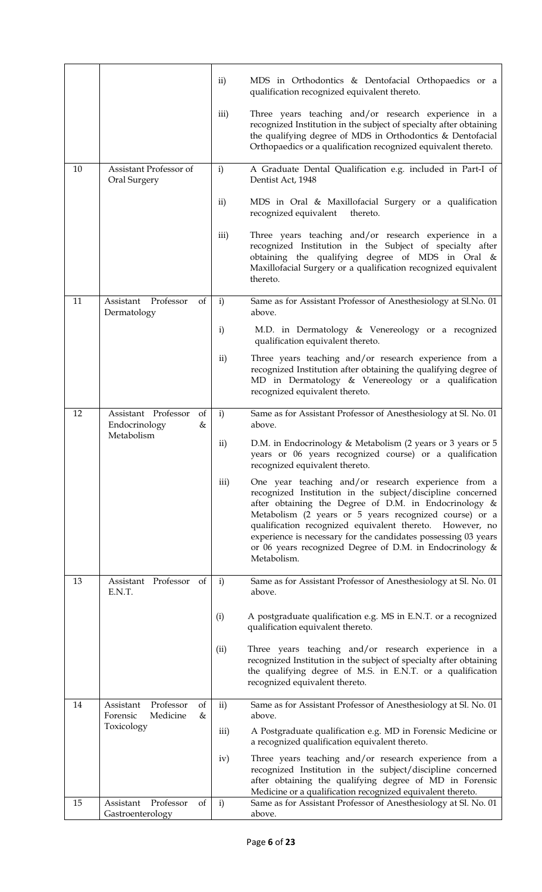|    |                                                           | $\mathbf{ii}$ | MDS in Orthodontics & Dentofacial Orthopaedics or a<br>qualification recognized equivalent thereto.                                                                                                                                                                                                                                                                                                                                              |
|----|-----------------------------------------------------------|---------------|--------------------------------------------------------------------------------------------------------------------------------------------------------------------------------------------------------------------------------------------------------------------------------------------------------------------------------------------------------------------------------------------------------------------------------------------------|
|    |                                                           | iii)          | Three years teaching and/or research experience in a<br>recognized Institution in the subject of specialty after obtaining<br>the qualifying degree of MDS in Orthodontics & Dentofacial<br>Orthopaedics or a qualification recognized equivalent thereto.                                                                                                                                                                                       |
| 10 | Assistant Professor of<br>Oral Surgery                    | $\mathbf{i}$  | A Graduate Dental Qualification e.g. included in Part-I of<br>Dentist Act, 1948                                                                                                                                                                                                                                                                                                                                                                  |
|    |                                                           | $\mathbf{ii}$ | MDS in Oral & Maxillofacial Surgery or a qualification<br>recognized equivalent<br>thereto.                                                                                                                                                                                                                                                                                                                                                      |
|    |                                                           | iii)          | Three years teaching and/or research experience in a<br>recognized Institution in the Subject of specialty after<br>obtaining the qualifying degree of MDS in Oral &<br>Maxillofacial Surgery or a qualification recognized equivalent<br>thereto.                                                                                                                                                                                               |
| 11 | Assistant<br>Professor<br>of<br>Dermatology               | i)            | Same as for Assistant Professor of Anesthesiology at Sl.No. 01<br>above.                                                                                                                                                                                                                                                                                                                                                                         |
|    |                                                           | $\mathbf{i}$  | M.D. in Dermatology & Venereology or a recognized<br>qualification equivalent thereto.                                                                                                                                                                                                                                                                                                                                                           |
|    |                                                           | $\mathbf{ii}$ | Three years teaching and/or research experience from a<br>recognized Institution after obtaining the qualifying degree of<br>MD in Dermatology & Venereology or a qualification<br>recognized equivalent thereto.                                                                                                                                                                                                                                |
| 12 | Assistant Professor<br>of<br>Endocrinology<br>&           | i)            | Same as for Assistant Professor of Anesthesiology at Sl. No. 01<br>above.                                                                                                                                                                                                                                                                                                                                                                        |
|    | Metabolism                                                | $\rm ii)$     | D.M. in Endocrinology & Metabolism (2 years or 3 years or 5<br>years or 06 years recognized course) or a qualification<br>recognized equivalent thereto.                                                                                                                                                                                                                                                                                         |
|    |                                                           | iii)          | One year teaching and/or research experience from a<br>recognized Institution in the subject/discipline concerned<br>after obtaining the Degree of D.M. in Endocrinology $\&$<br>Metabolism (2 years or 5 years recognized course) or a<br>qualification recognized equivalent thereto. However, no<br>experience is necessary for the candidates possessing 03 years<br>or 06 years recognized Degree of D.M. in Endocrinology &<br>Metabolism. |
| 13 | Professor<br>Assistant<br>of<br>E.N.T.                    | $\mathbf{i}$  | Same as for Assistant Professor of Anesthesiology at Sl. No. 01<br>above.                                                                                                                                                                                                                                                                                                                                                                        |
|    |                                                           | (i)           | A postgraduate qualification e.g. MS in E.N.T. or a recognized<br>qualification equivalent thereto.                                                                                                                                                                                                                                                                                                                                              |
|    |                                                           | (ii)          | Three years teaching and/or research experience in a<br>recognized Institution in the subject of specialty after obtaining<br>the qualifying degree of M.S. in E.N.T. or a qualification<br>recognized equivalent thereto.                                                                                                                                                                                                                       |
| 14 | Professor<br>Assistant<br>of<br>Medicine<br>Forensic<br>& | $\mathbf{ii}$ | Same as for Assistant Professor of Anesthesiology at Sl. No. 01<br>above.                                                                                                                                                                                                                                                                                                                                                                        |
|    | Toxicology                                                | iii)          | A Postgraduate qualification e.g. MD in Forensic Medicine or<br>a recognized qualification equivalent thereto.                                                                                                                                                                                                                                                                                                                                   |
|    |                                                           | iv)           | Three years teaching and/or research experience from a<br>recognized Institution in the subject/discipline concerned<br>after obtaining the qualifying degree of MD in Forensic<br>Medicine or a qualification recognized equivalent thereto.                                                                                                                                                                                                    |
| 15 | Professor<br>Assistant<br>of<br>Gastroenterology          | $\mathbf{i}$  | Same as for Assistant Professor of Anesthesiology at Sl. No. 01<br>above.                                                                                                                                                                                                                                                                                                                                                                        |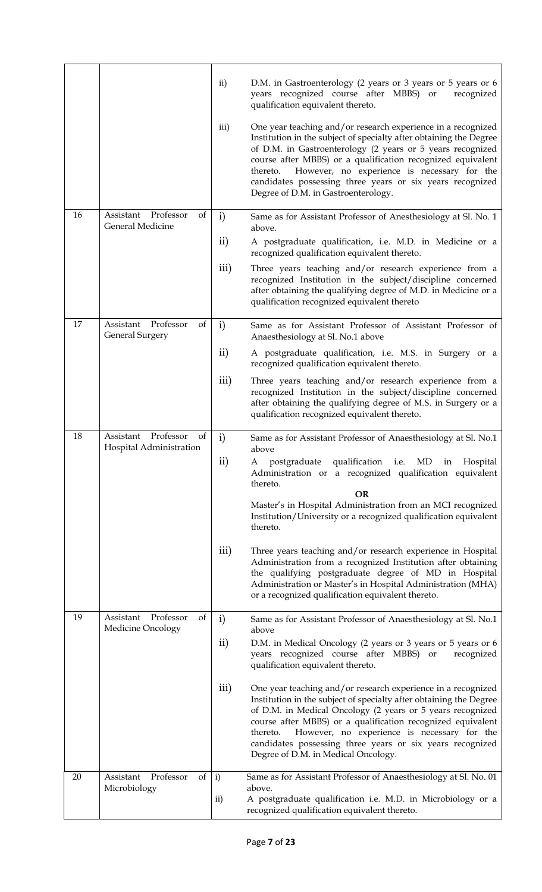|    |                                                        | $\mathbf{ii}$<br>iii) | D.M. in Gastroenterology (2 years or 3 years or 5 years or 6<br>years recognized course after MBBS) or<br>recognized<br>qualification equivalent thereto.<br>One year teaching and/or research experience in a recognized<br>Institution in the subject of specialty after obtaining the Degree<br>of D.M. in Gastroenterology (2 years or 5 years recognized<br>course after MBBS) or a qualification recognized equivalent<br>However, no experience is necessary for the<br>thereto.<br>candidates possessing three years or six years recognized |
|----|--------------------------------------------------------|-----------------------|------------------------------------------------------------------------------------------------------------------------------------------------------------------------------------------------------------------------------------------------------------------------------------------------------------------------------------------------------------------------------------------------------------------------------------------------------------------------------------------------------------------------------------------------------|
| 16 | Professor<br>Assistant<br>of                           | $\mathbf{i}$          | Degree of D.M. in Gastroenterology.<br>Same as for Assistant Professor of Anesthesiology at Sl. No. 1                                                                                                                                                                                                                                                                                                                                                                                                                                                |
|    | General Medicine                                       | $\rm ii)$             | above.<br>A postgraduate qualification, i.e. M.D. in Medicine or a                                                                                                                                                                                                                                                                                                                                                                                                                                                                                   |
|    |                                                        |                       | recognized qualification equivalent thereto.                                                                                                                                                                                                                                                                                                                                                                                                                                                                                                         |
|    |                                                        | iii)                  | Three years teaching and/or research experience from a<br>recognized Institution in the subject/discipline concerned<br>after obtaining the qualifying degree of M.D. in Medicine or a<br>qualification recognized equivalent thereto                                                                                                                                                                                                                                                                                                                |
| 17 | Professor<br>Assistant<br>of<br><b>General Surgery</b> | $\mathbf{i}$          | Same as for Assistant Professor of Assistant Professor of<br>Anaesthesiology at Sl. No.1 above                                                                                                                                                                                                                                                                                                                                                                                                                                                       |
|    |                                                        | $\rm ii)$             | A postgraduate qualification, i.e. M.S. in Surgery or a<br>recognized qualification equivalent thereto.                                                                                                                                                                                                                                                                                                                                                                                                                                              |
|    |                                                        | iii)                  | Three years teaching and/or research experience from a<br>recognized Institution in the subject/discipline concerned<br>after obtaining the qualifying degree of M.S. in Surgery or a<br>qualification recognized equivalent thereto.                                                                                                                                                                                                                                                                                                                |
| 18 | Assistant Professor<br>of<br>Hospital Administration   | $\mathbf{i}$          | Same as for Assistant Professor of Anaesthesiology at Sl. No.1<br>above                                                                                                                                                                                                                                                                                                                                                                                                                                                                              |
|    |                                                        | ii)                   | A postgraduate qualification i.e. MD in Hospital<br>Administration or a recognized qualification equivalent<br>thereto.<br><b>OR</b><br>Master's in Hospital Administration from an MCI recognized<br>Institution/University or a recognized qualification equivalent<br>thereto.                                                                                                                                                                                                                                                                    |
|    |                                                        | iii)                  | Three years teaching and/or research experience in Hospital<br>Administration from a recognized Institution after obtaining<br>the qualifying postgraduate degree of MD in Hospital<br>Administration or Master's in Hospital Administration (MHA)<br>or a recognized qualification equivalent thereto.                                                                                                                                                                                                                                              |
| 19 | Professor<br>Assistant<br>of<br>Medicine Oncology      | $\mathbf{i}$          | Same as for Assistant Professor of Anaesthesiology at Sl. No.1<br>above                                                                                                                                                                                                                                                                                                                                                                                                                                                                              |
|    |                                                        | $\rm ii)$             | D.M. in Medical Oncology (2 years or 3 years or 5 years or 6<br>years recognized course after MBBS) or<br>recognized<br>qualification equivalent thereto.                                                                                                                                                                                                                                                                                                                                                                                            |
|    |                                                        | iii)                  | One year teaching and/or research experience in a recognized<br>Institution in the subject of specialty after obtaining the Degree<br>of D.M. in Medical Oncology (2 years or 5 years recognized<br>course after MBBS) or a qualification recognized equivalent<br>However, no experience is necessary for the<br>thereto.<br>candidates possessing three years or six years recognized<br>Degree of D.M. in Medical Oncology.                                                                                                                       |
| 20 | Professor<br>Assistant<br>of<br>Microbiology           | $\mathbf{i}$          | Same as for Assistant Professor of Anaesthesiology at Sl. No. 01<br>above.                                                                                                                                                                                                                                                                                                                                                                                                                                                                           |
|    |                                                        | $\mathbf{ii}$         | A postgraduate qualification i.e. M.D. in Microbiology or a<br>recognized qualification equivalent thereto.                                                                                                                                                                                                                                                                                                                                                                                                                                          |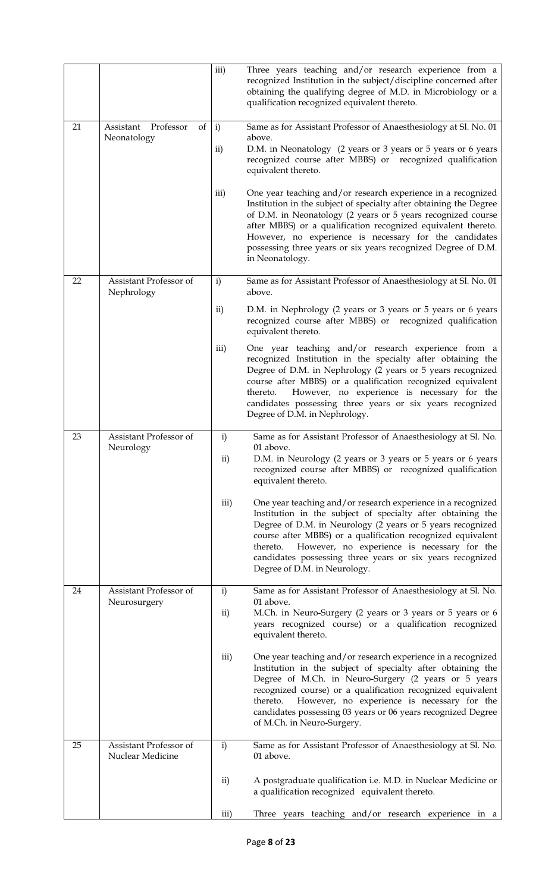|    |                                             | iii)                          | Three years teaching and/or research experience from a<br>recognized Institution in the subject/discipline concerned after<br>obtaining the qualifying degree of M.D. in Microbiology or a<br>qualification recognized equivalent thereto.                                                                                                                                                                        |
|----|---------------------------------------------|-------------------------------|-------------------------------------------------------------------------------------------------------------------------------------------------------------------------------------------------------------------------------------------------------------------------------------------------------------------------------------------------------------------------------------------------------------------|
| 21 | Professor<br>Assistant<br>of<br>Neonatology | $\mathbf{i}$<br>$\mathbf{ii}$ | Same as for Assistant Professor of Anaesthesiology at Sl. No. 01<br>above.<br>D.M. in Neonatology (2 years or 3 years or 5 years or 6 years<br>recognized course after MBBS) or recognized qualification<br>equivalent thereto.                                                                                                                                                                                   |
|    |                                             | iii)                          | One year teaching and/or research experience in a recognized<br>Institution in the subject of specialty after obtaining the Degree<br>of D.M. in Neonatology (2 years or 5 years recognized course<br>after MBBS) or a qualification recognized equivalent thereto.<br>However, no experience is necessary for the candidates<br>possessing three years or six years recognized Degree of D.M.<br>in Neonatology. |
| 22 | Assistant Professor of<br>Nephrology        | $\mathbf{i}$                  | Same as for Assistant Professor of Anaesthesiology at Sl. No. 01<br>above.                                                                                                                                                                                                                                                                                                                                        |
|    |                                             | $\rm ii)$                     | D.M. in Nephrology (2 years or 3 years or 5 years or 6 years<br>recognized course after MBBS) or recognized qualification<br>equivalent thereto.                                                                                                                                                                                                                                                                  |
|    |                                             | iii)                          | One year teaching and/or research experience from a<br>recognized Institution in the specialty after obtaining the<br>Degree of D.M. in Nephrology (2 years or 5 years recognized<br>course after MBBS) or a qualification recognized equivalent<br>However, no experience is necessary for the<br>thereto.<br>candidates possessing three years or six years recognized<br>Degree of D.M. in Nephrology.         |
| 23 | Assistant Professor of<br>Neurology         | $\mathbf{i}$<br>ii)           | Same as for Assistant Professor of Anaesthesiology at Sl. No.<br>01 above.<br>D.M. in Neurology (2 years or 3 years or 5 years or 6 years<br>recognized course after MBBS) or recognized qualification<br>equivalent thereto.                                                                                                                                                                                     |
|    |                                             | iii)                          | One year teaching and/or research experience in a recognized<br>Institution in the subject of specialty after obtaining the<br>Degree of D.M. in Neurology (2 years or 5 years recognized<br>course after MBBS) or a qualification recognized equivalent<br>However, no experience is necessary for the<br>thereto.<br>candidates possessing three years or six years recognized<br>Degree of D.M. in Neurology.  |
| 24 | Assistant Professor of<br>Neurosurgery      | $\mathbf{i}$<br>ii)           | Same as for Assistant Professor of Anaesthesiology at Sl. No.<br>01 above.<br>M.Ch. in Neuro-Surgery (2 years or 3 years or 5 years or 6<br>years recognized course) or a qualification recognized<br>equivalent thereto.                                                                                                                                                                                         |
|    |                                             | iii)                          | One year teaching and/or research experience in a recognized<br>Institution in the subject of specialty after obtaining the<br>Degree of M.Ch. in Neuro-Surgery (2 years or 5 years<br>recognized course) or a qualification recognized equivalent<br>However, no experience is necessary for the<br>thereto.<br>candidates possessing 03 years or 06 years recognized Degree<br>of M.Ch. in Neuro-Surgery.       |
| 25 | Assistant Professor of<br>Nuclear Medicine  | $\mathbf{i}$                  | Same as for Assistant Professor of Anaesthesiology at Sl. No.<br>01 above.                                                                                                                                                                                                                                                                                                                                        |
|    |                                             | $\rm ii)$                     | A postgraduate qualification <i>i.e.</i> M.D. in Nuclear Medicine or<br>a qualification recognized equivalent thereto.                                                                                                                                                                                                                                                                                            |
|    |                                             | iii)                          | Three years teaching and/or research experience in a                                                                                                                                                                                                                                                                                                                                                              |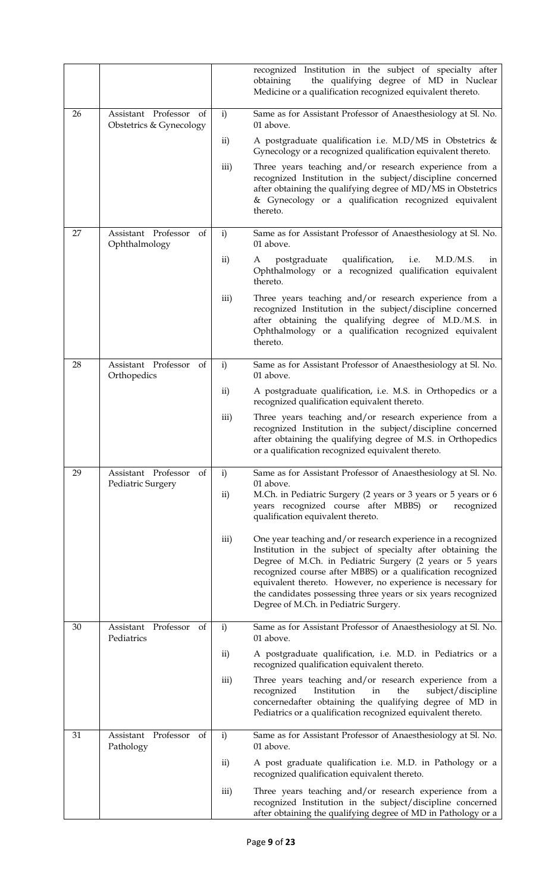|    |                                                   |              | recognized Institution in the subject of specialty after<br>the qualifying degree of MD in Nuclear<br>obtaining<br>Medicine or a qualification recognized equivalent thereto.                                                                                                                                                                                                                                                   |
|----|---------------------------------------------------|--------------|---------------------------------------------------------------------------------------------------------------------------------------------------------------------------------------------------------------------------------------------------------------------------------------------------------------------------------------------------------------------------------------------------------------------------------|
| 26 | Assistant Professor of<br>Obstetrics & Gynecology | i)           | Same as for Assistant Professor of Anaesthesiology at Sl. No.<br>01 above.                                                                                                                                                                                                                                                                                                                                                      |
|    |                                                   | $\rm ii)$    | A postgraduate qualification i.e. M.D/MS in Obstetrics &<br>Gynecology or a recognized qualification equivalent thereto.                                                                                                                                                                                                                                                                                                        |
|    |                                                   | iii)         | Three years teaching and/or research experience from a<br>recognized Institution in the subject/discipline concerned<br>after obtaining the qualifying degree of MD/MS in Obstetrics<br>& Gynecology or a qualification recognized equivalent<br>thereto.                                                                                                                                                                       |
| 27 | Assistant Professor<br>of<br>Ophthalmology        | i)           | Same as for Assistant Professor of Anaesthesiology at Sl. No.<br>01 above.                                                                                                                                                                                                                                                                                                                                                      |
|    |                                                   | $\rm ii)$    | postgraduate qualification,<br>M.D./M.S.<br>i.e.<br>А<br>1n<br>Ophthalmology or a recognized qualification equivalent<br>thereto.                                                                                                                                                                                                                                                                                               |
|    |                                                   | iii)         | Three years teaching and/or research experience from a<br>recognized Institution in the subject/discipline concerned<br>after obtaining the qualifying degree of M.D./M.S. in<br>Ophthalmology or a qualification recognized equivalent<br>thereto.                                                                                                                                                                             |
| 28 | Assistant Professor<br>of<br>Orthopedics          | $\mathbf{i}$ | Same as for Assistant Professor of Anaesthesiology at Sl. No.<br>01 above.                                                                                                                                                                                                                                                                                                                                                      |
|    |                                                   | $\rm ii)$    | A postgraduate qualification, i.e. M.S. in Orthopedics or a<br>recognized qualification equivalent thereto.                                                                                                                                                                                                                                                                                                                     |
|    |                                                   | iii)         | Three years teaching and/or research experience from a<br>recognized Institution in the subject/discipline concerned<br>after obtaining the qualifying degree of M.S. in Orthopedics<br>or a qualification recognized equivalent thereto.                                                                                                                                                                                       |
| 29 | Assistant Professor<br>of<br>Pediatric Surgery    | $\mathbf{i}$ | Same as for Assistant Professor of Anaesthesiology at Sl. No.<br>01 above.                                                                                                                                                                                                                                                                                                                                                      |
|    |                                                   | ii)          | M.Ch. in Pediatric Surgery (2 years or 3 years or 5 years or 6<br>years recognized course after MBBS) or<br>recognized<br>qualification equivalent thereto.                                                                                                                                                                                                                                                                     |
|    |                                                   | iii)         | One year teaching and/or research experience in a recognized<br>Institution in the subject of specialty after obtaining the<br>Degree of M.Ch. in Pediatric Surgery (2 years or 5 years<br>recognized course after MBBS) or a qualification recognized<br>equivalent thereto. However, no experience is necessary for<br>the candidates possessing three years or six years recognized<br>Degree of M.Ch. in Pediatric Surgery. |
| 30 | Assistant Professor<br>of<br>Pediatrics           | $\mathbf{i}$ | Same as for Assistant Professor of Anaesthesiology at Sl. No.<br>01 above.                                                                                                                                                                                                                                                                                                                                                      |
|    |                                                   | $\rm ii)$    | A postgraduate qualification, i.e. M.D. in Pediatrics or a<br>recognized qualification equivalent thereto.                                                                                                                                                                                                                                                                                                                      |
|    |                                                   | iii)         | Three years teaching and/or research experience from a<br>recognized<br>Institution<br>in<br>the<br>subject/discipline<br>concernedafter obtaining the qualifying degree of MD in<br>Pediatrics or a qualification recognized equivalent thereto.                                                                                                                                                                               |
| 31 | Professor<br>Assistant<br>of<br>Pathology         | $\mathbf{i}$ | Same as for Assistant Professor of Anaesthesiology at Sl. No.<br>01 above.                                                                                                                                                                                                                                                                                                                                                      |
|    |                                                   | $\rm ii)$    | A post graduate qualification i.e. M.D. in Pathology or a<br>recognized qualification equivalent thereto.                                                                                                                                                                                                                                                                                                                       |
|    |                                                   | iii)         | Three years teaching and/or research experience from a<br>recognized Institution in the subject/discipline concerned<br>after obtaining the qualifying degree of MD in Pathology or a                                                                                                                                                                                                                                           |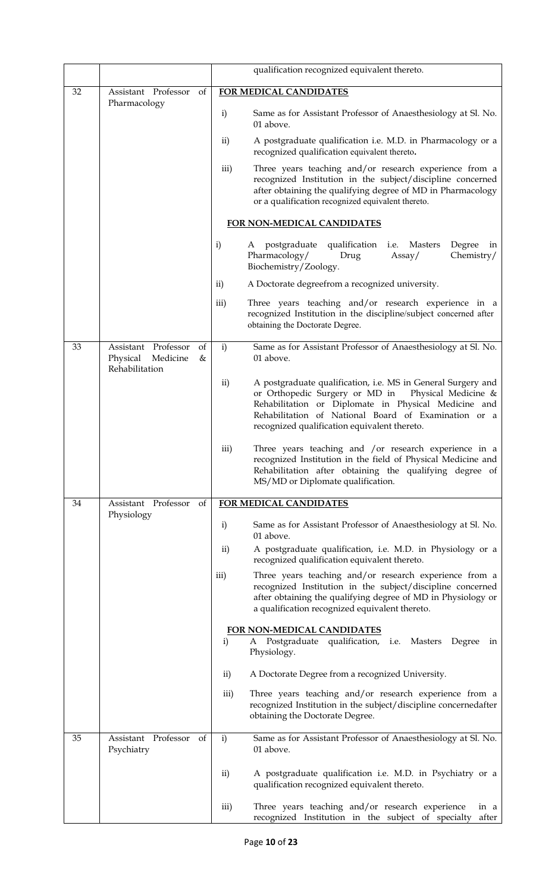|    |                                                                          | qualification recognized equivalent thereto.                                                                                                                                                                                                                                                           |
|----|--------------------------------------------------------------------------|--------------------------------------------------------------------------------------------------------------------------------------------------------------------------------------------------------------------------------------------------------------------------------------------------------|
| 32 | of<br>Assistant Professor<br>Pharmacology                                | FOR MEDICAL CANDIDATES                                                                                                                                                                                                                                                                                 |
|    |                                                                          | $\mathbf{i}$<br>Same as for Assistant Professor of Anaesthesiology at Sl. No.<br>01 above.                                                                                                                                                                                                             |
|    |                                                                          | A postgraduate qualification i.e. M.D. in Pharmacology or a<br>$\mathbf{ii}$<br>recognized qualification equivalent thereto.                                                                                                                                                                           |
|    |                                                                          | iii)<br>Three years teaching and/or research experience from a<br>recognized Institution in the subject/discipline concerned<br>after obtaining the qualifying degree of MD in Pharmacology<br>or a qualification recognized equivalent thereto.                                                       |
|    |                                                                          | FOR NON-MEDICAL CANDIDATES                                                                                                                                                                                                                                                                             |
|    |                                                                          | $\mathbf{i}$<br>postgraduate qualification i.e. Masters<br>Degree<br>A<br>in<br>Pharmacology/<br>Chemistry/<br>Drug<br>Assay/<br>Biochemistry/Zoology.                                                                                                                                                 |
|    |                                                                          | A Doctorate degreefrom a recognized university.<br>$\rm ii)$                                                                                                                                                                                                                                           |
|    |                                                                          | iii)<br>Three years teaching and/or research experience in a<br>recognized Institution in the discipline/subject concerned after<br>obtaining the Doctorate Degree.                                                                                                                                    |
| 33 | Assistant Professor<br>of<br>Physical<br>Medicine<br>&<br>Rehabilitation | i)<br>Same as for Assistant Professor of Anaesthesiology at Sl. No.<br>01 above.                                                                                                                                                                                                                       |
|    |                                                                          | A postgraduate qualification, i.e. MS in General Surgery and<br>$\mathbf{ii}$<br>or Orthopedic Surgery or MD in<br>Physical Medicine &<br>Rehabilitation or Diplomate in Physical Medicine and<br>Rehabilitation of National Board of Examination or a<br>recognized qualification equivalent thereto. |
|    |                                                                          | iii)<br>Three years teaching and /or research experience in a<br>recognized Institution in the field of Physical Medicine and<br>Rehabilitation after obtaining the qualifying degree of<br>MS/MD or Diplomate qualification.                                                                          |
| 34 | Assistant Professor<br>of                                                | FOR MEDICAL CANDIDATES                                                                                                                                                                                                                                                                                 |
|    | Physiology                                                               | Same as for Assistant Professor of Anaesthesiology at Sl. No.<br>$\mathbf{i}$<br>01 above.                                                                                                                                                                                                             |
|    |                                                                          | $\mathbf{ii}$<br>A postgraduate qualification, i.e. M.D. in Physiology or a<br>recognized qualification equivalent thereto.                                                                                                                                                                            |
|    |                                                                          | iii)<br>Three years teaching and/or research experience from a<br>recognized Institution in the subject/discipline concerned<br>after obtaining the qualifying degree of MD in Physiology or<br>a qualification recognized equivalent thereto.                                                         |
|    |                                                                          | FOR NON-MEDICAL CANDIDATES                                                                                                                                                                                                                                                                             |
|    |                                                                          | Postgraduate qualification, i.e. Masters<br>$\mathbf{i}$<br>Degree<br>A<br>in<br>Physiology.                                                                                                                                                                                                           |
|    |                                                                          | $\mathbf{ii}$<br>A Doctorate Degree from a recognized University.                                                                                                                                                                                                                                      |
|    |                                                                          | Three years teaching and/or research experience from a<br>iii)<br>recognized Institution in the subject/discipline concernedafter<br>obtaining the Doctorate Degree.                                                                                                                                   |
| 35 | Assistant Professor<br>of<br>Psychiatry                                  | $\mathbf{i}$<br>Same as for Assistant Professor of Anaesthesiology at Sl. No.<br>01 above.                                                                                                                                                                                                             |
|    |                                                                          | ii)<br>A postgraduate qualification i.e. M.D. in Psychiatry or a<br>qualification recognized equivalent thereto.                                                                                                                                                                                       |
|    |                                                                          | Three years teaching and/or research experience<br>iii)<br>in a<br>recognized Institution in the subject of specialty<br>after                                                                                                                                                                         |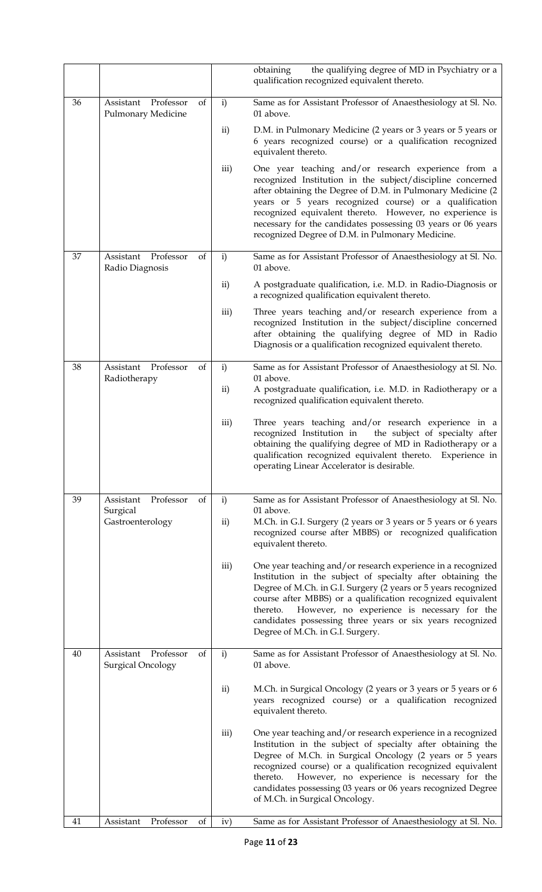|    |                                                    |    |               | the qualifying degree of MD in Psychiatry or a<br>obtaining<br>qualification recognized equivalent thereto.                                                                                                                                                                                                                                                                                                                |
|----|----------------------------------------------------|----|---------------|----------------------------------------------------------------------------------------------------------------------------------------------------------------------------------------------------------------------------------------------------------------------------------------------------------------------------------------------------------------------------------------------------------------------------|
| 36 | Professor<br>Assistant<br>Pulmonary Medicine       | of | $\mathbf{i}$  | Same as for Assistant Professor of Anaesthesiology at Sl. No.<br>01 above.                                                                                                                                                                                                                                                                                                                                                 |
|    |                                                    |    | $\mathbf{ii}$ | D.M. in Pulmonary Medicine (2 years or 3 years or 5 years or<br>6 years recognized course) or a qualification recognized<br>equivalent thereto.                                                                                                                                                                                                                                                                            |
|    |                                                    |    | iii)          | One year teaching and/or research experience from a<br>recognized Institution in the subject/discipline concerned<br>after obtaining the Degree of D.M. in Pulmonary Medicine (2<br>years or 5 years recognized course) or a qualification<br>recognized equivalent thereto. However, no experience is<br>necessary for the candidates possessing 03 years or 06 years<br>recognized Degree of D.M. in Pulmonary Medicine. |
| 37 | Professor<br>Assistant<br>Radio Diagnosis          | of | $\mathbf{i}$  | Same as for Assistant Professor of Anaesthesiology at Sl. No.<br>01 above.                                                                                                                                                                                                                                                                                                                                                 |
|    |                                                    |    | ii)           | A postgraduate qualification, i.e. M.D. in Radio-Diagnosis or<br>a recognized qualification equivalent thereto.                                                                                                                                                                                                                                                                                                            |
|    |                                                    |    | iii)          | Three years teaching and/or research experience from a<br>recognized Institution in the subject/discipline concerned<br>after obtaining the qualifying degree of MD in Radio<br>Diagnosis or a qualification recognized equivalent thereto.                                                                                                                                                                                |
| 38 | Professor<br>Assistant<br>Radiotherapy             | of | $\mathbf{i}$  | Same as for Assistant Professor of Anaesthesiology at Sl. No.<br>01 above.                                                                                                                                                                                                                                                                                                                                                 |
|    |                                                    |    | ii)           | A postgraduate qualification, i.e. M.D. in Radiotherapy or a<br>recognized qualification equivalent thereto.                                                                                                                                                                                                                                                                                                               |
|    |                                                    |    | iii)          | Three years teaching and/or research experience in a<br>recognized Institution in<br>the subject of specialty after<br>obtaining the qualifying degree of MD in Radiotherapy or a<br>qualification recognized equivalent thereto. Experience in<br>operating Linear Accelerator is desirable.                                                                                                                              |
| 39 | Professor<br>Assistant<br>Surgical                 | of | $\mathbf{i}$  | Same as for Assistant Professor of Anaesthesiology at Sl. No.<br>01 above.                                                                                                                                                                                                                                                                                                                                                 |
|    | Gastroenterology                                   |    | $\rm ii)$     | M.Ch. in G.I. Surgery (2 years or 3 years or 5 years or 6 years<br>recognized course after MBBS) or recognized qualification<br>equivalent thereto.                                                                                                                                                                                                                                                                        |
|    |                                                    |    | iii)          | One year teaching and/or research experience in a recognized<br>Institution in the subject of specialty after obtaining the<br>Degree of M.Ch. in G.I. Surgery (2 years or 5 years recognized<br>course after MBBS) or a qualification recognized equivalent<br>However, no experience is necessary for the<br>thereto.<br>candidates possessing three years or six years recognized<br>Degree of M.Ch. in G.I. Surgery.   |
| 40 | Professor<br>Assistant<br><b>Surgical Oncology</b> | of | $\mathbf{i}$  | Same as for Assistant Professor of Anaesthesiology at Sl. No.<br>01 above.                                                                                                                                                                                                                                                                                                                                                 |
|    |                                                    |    | $\mathbf{ii}$ | M.Ch. in Surgical Oncology (2 years or 3 years or 5 years or 6<br>years recognized course) or a qualification recognized<br>equivalent thereto.                                                                                                                                                                                                                                                                            |
|    |                                                    |    | iii)          | One year teaching and/or research experience in a recognized<br>Institution in the subject of specialty after obtaining the<br>Degree of M.Ch. in Surgical Oncology (2 years or 5 years<br>recognized course) or a qualification recognized equivalent<br>However, no experience is necessary for the<br>thereto.<br>candidates possessing 03 years or 06 years recognized Degree<br>of M.Ch. in Surgical Oncology.        |
| 41 | Assistant<br>Professor                             | of | iv)           | Same as for Assistant Professor of Anaesthesiology at Sl. No.                                                                                                                                                                                                                                                                                                                                                              |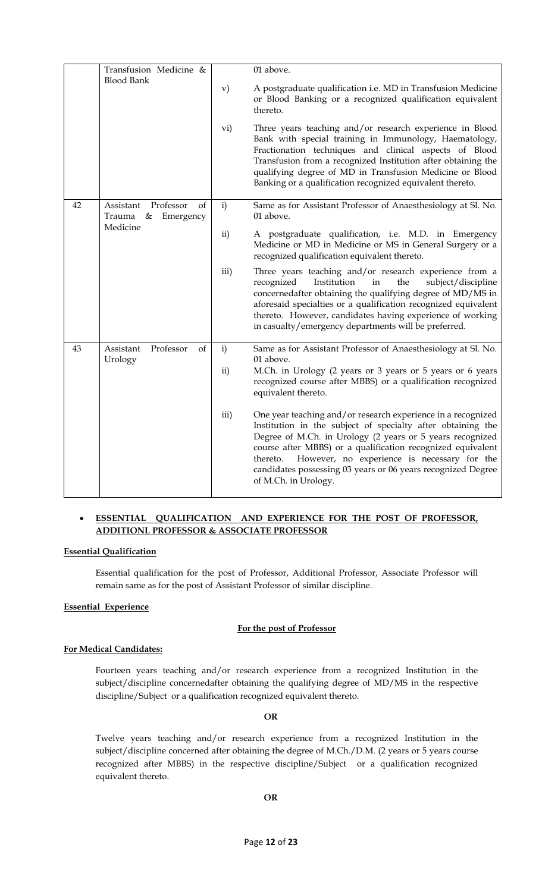|    | Transfusion Medicine &                                   |               | 01 above.                                                                                                                                                                                                                                                                                                                                                                                                  |
|----|----------------------------------------------------------|---------------|------------------------------------------------------------------------------------------------------------------------------------------------------------------------------------------------------------------------------------------------------------------------------------------------------------------------------------------------------------------------------------------------------------|
|    | <b>Blood Bank</b>                                        | $\mathbf{v})$ | A postgraduate qualification i.e. MD in Transfusion Medicine<br>or Blood Banking or a recognized qualification equivalent<br>thereto.                                                                                                                                                                                                                                                                      |
|    |                                                          | vi)           | Three years teaching and/or research experience in Blood<br>Bank with special training in Immunology, Haematology,<br>Fractionation techniques and clinical aspects of Blood<br>Transfusion from a recognized Institution after obtaining the<br>qualifying degree of MD in Transfusion Medicine or Blood<br>Banking or a qualification recognized equivalent thereto.                                     |
| 42 | Professor<br>of<br>Assistant<br>Emergency<br>Trauma<br>& | $\mathbf{i}$  | Same as for Assistant Professor of Anaesthesiology at Sl. No.<br>01 above.                                                                                                                                                                                                                                                                                                                                 |
|    | Medicine                                                 | ii)           | A postgraduate qualification, i.e. M.D. in Emergency<br>Medicine or MD in Medicine or MS in General Surgery or a<br>recognized qualification equivalent thereto.                                                                                                                                                                                                                                           |
|    |                                                          | iii)          | Three years teaching and/or research experience from a<br>recognized<br>Institution<br>the<br>subject/discipline<br>in<br>concernedafter obtaining the qualifying degree of MD/MS in<br>aforesaid specialties or a qualification recognized equivalent<br>thereto. However, candidates having experience of working<br>in casualty/emergency departments will be preferred.                                |
| 43 | Professor<br>Assistant<br>of                             | $\mathbf{i}$  | Same as for Assistant Professor of Anaesthesiology at Sl. No.<br>01 above.                                                                                                                                                                                                                                                                                                                                 |
|    | Urology                                                  | ii)           | M.Ch. in Urology (2 years or 3 years or 5 years or 6 years<br>recognized course after MBBS) or a qualification recognized<br>equivalent thereto.                                                                                                                                                                                                                                                           |
|    |                                                          | iii)          | One year teaching and/or research experience in a recognized<br>Institution in the subject of specialty after obtaining the<br>Degree of M.Ch. in Urology (2 years or 5 years recognized<br>course after MBBS) or a qualification recognized equivalent<br>However, no experience is necessary for the<br>thereto.<br>candidates possessing 03 years or 06 years recognized Degree<br>of M.Ch. in Urology. |

### • **ESSENTIAL QUALIFICATION AND EXPERIENCE FOR THE POST OF PROFESSOR, ADDITIONL PROFESSOR & ASSOCIATE PROFESSOR**

#### **Essential Qualification**

Essential qualification for the post of Professor, Additional Professor, Associate Professor will remain same as for the post of Assistant Professor of similar discipline.

#### **Essential Experience**

#### **For the post of Professor**

#### **For Medical Candidates:**

Fourteen years teaching and/or research experience from a recognized Institution in the subject/discipline concernedafter obtaining the qualifying degree of MD/MS in the respective discipline/Subject or a qualification recognized equivalent thereto.

#### **OR**

Twelve years teaching and/or research experience from a recognized Institution in the subject/discipline concerned after obtaining the degree of M.Ch./D.M. (2 years or 5 years course recognized after MBBS) in the respective discipline/Subject or a qualification recognized equivalent thereto.

### **OR**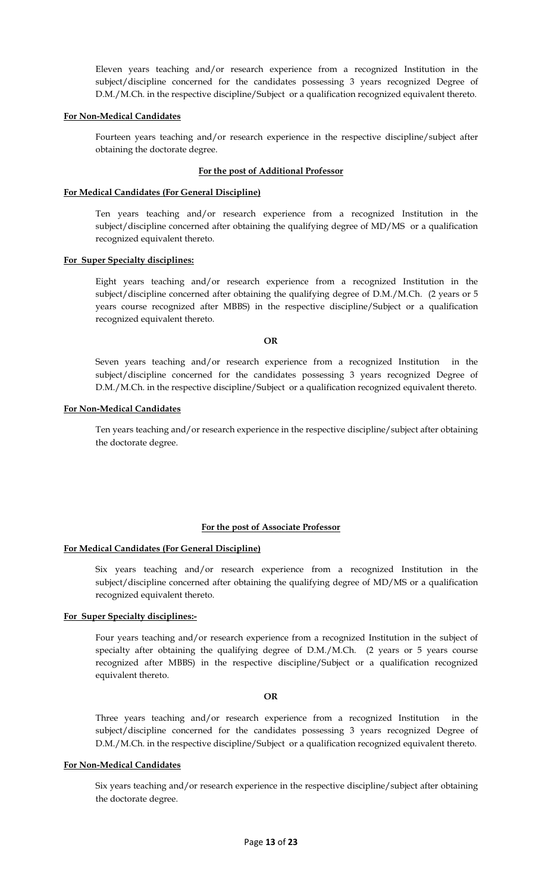Eleven years teaching and/or research experience from a recognized Institution in the subject/discipline concerned for the candidates possessing 3 years recognized Degree of D.M./M.Ch. in the respective discipline/Subject or a qualification recognized equivalent thereto.

#### **For Non-Medical Candidates**

Fourteen years teaching and/or research experience in the respective discipline/subject after obtaining the doctorate degree.

#### **For the post of Additional Professor**

#### **For Medical Candidates (For General Discipline)**

Ten years teaching and/or research experience from a recognized Institution in the subject/discipline concerned after obtaining the qualifying degree of MD/MS or a qualification recognized equivalent thereto.

#### **For Super Specialty disciplines:**

Eight years teaching and/or research experience from a recognized Institution in the subject/discipline concerned after obtaining the qualifying degree of D.M./M.Ch. (2 years or 5 years course recognized after MBBS) in the respective discipline/Subject or a qualification recognized equivalent thereto.

#### **OR**

Seven years teaching and/or research experience from a recognized Institution in the subject/discipline concerned for the candidates possessing 3 years recognized Degree of D.M./M.Ch. in the respective discipline/Subject or a qualification recognized equivalent thereto.

#### **For Non-Medical Candidates**

Ten years teaching and/or research experience in the respective discipline/subject after obtaining the doctorate degree.

#### **For the post of Associate Professor**

#### **For Medical Candidates (For General Discipline)**

Six years teaching and/or research experience from a recognized Institution in the subject/discipline concerned after obtaining the qualifying degree of MD/MS or a qualification recognized equivalent thereto.

#### **For Super Specialty disciplines:-**

Four years teaching and/or research experience from a recognized Institution in the subject of specialty after obtaining the qualifying degree of D.M./M.Ch. (2 years or 5 years course recognized after MBBS) in the respective discipline/Subject or a qualification recognized equivalent thereto.

#### **OR**

Three years teaching and/or research experience from a recognized Institution in the subject/discipline concerned for the candidates possessing 3 years recognized Degree of D.M./M.Ch. in the respective discipline/Subject or a qualification recognized equivalent thereto.

#### **For Non-Medical Candidates**

Six years teaching and/or research experience in the respective discipline/subject after obtaining the doctorate degree.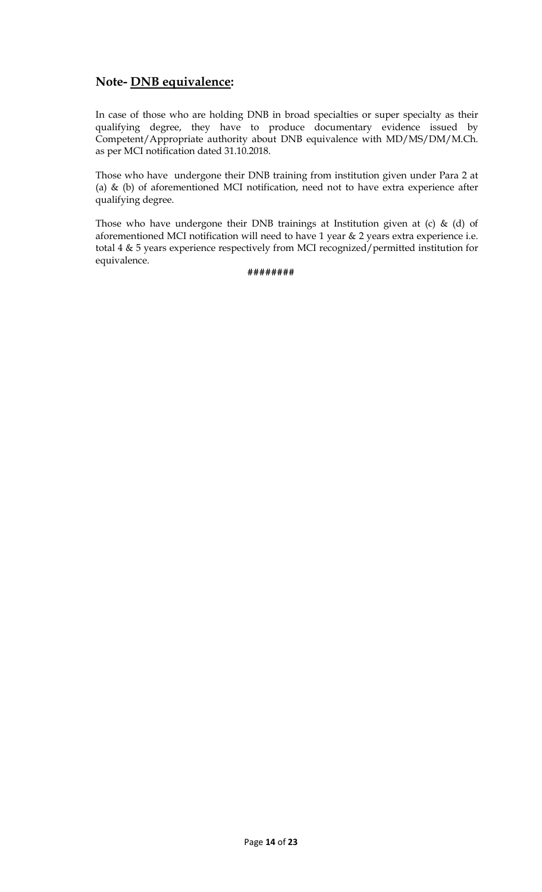## **Note- DNB equivalence:**

In case of those who are holding DNB in broad specialties or super specialty as their qualifying degree, they have to produce documentary evidence issued by Competent/Appropriate authority about DNB equivalence with MD/MS/DM/M.Ch. as per MCI notification dated 31.10.2018.

Those who have undergone their DNB training from institution given under Para 2 at (a) & (b) of aforementioned MCI notification, need not to have extra experience after qualifying degree.

Those who have undergone their DNB trainings at Institution given at (c) & (d) of aforementioned MCI notification will need to have 1 year & 2 years extra experience i.e. total 4 & 5 years experience respectively from MCI recognized/permitted institution for equivalence.

**########**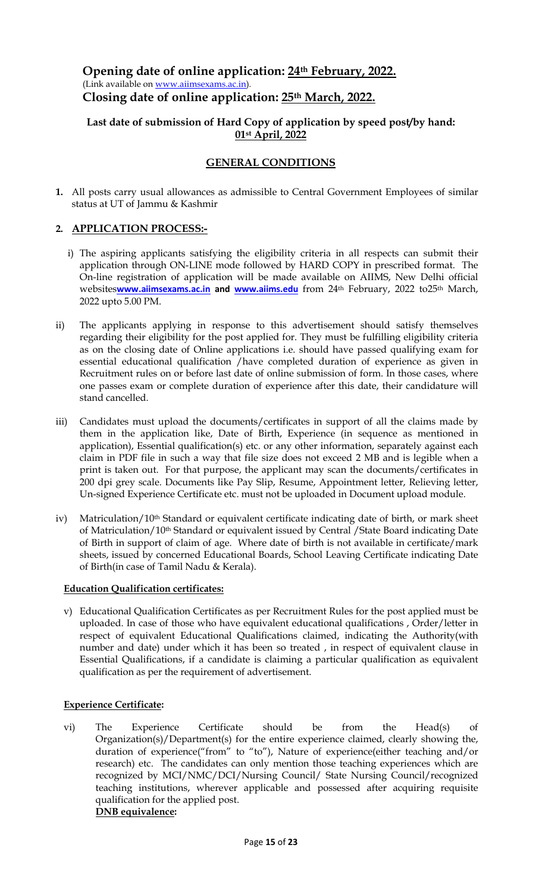### **Opening date of online application: 24th February, 2022.** (Link available on [www.aiimsexams.ac.in\)](http://www.aiimsexams.ac.in/). **Closing date of online application: 25th March, 2022.**

### **Last date of submission of Hard Copy of application by speed post/by hand: 01st April, 2022**

### **GENERAL CONDITIONS**

**1.** All posts carry usual allowances as admissible to Central Government Employees of similar status at UT of Jammu & Kashmir

### **2. APPLICATION PROCESS:-**

- i) The aspiring applicants satisfying the eligibility criteria in all respects can submit their application through ON-LINE mode followed by HARD COPY in prescribed format. The On-line registration of application will be made available on AIIMS, New Delhi official websites**[www.aiimsexams.ac.in](http://www.aiimsexams.ac.in/) and [www.aiims.edu](http://www.aiims.edu/)** from 24th February, 2022 to25th March, 2022 upto 5.00 PM.
- ii) The applicants applying in response to this advertisement should satisfy themselves regarding their eligibility for the post applied for. They must be fulfilling eligibility criteria as on the closing date of Online applications i.e. should have passed qualifying exam for essential educational qualification /have completed duration of experience as given in Recruitment rules on or before last date of online submission of form. In those cases, where one passes exam or complete duration of experience after this date, their candidature will stand cancelled.
- iii) Candidates must upload the documents/certificates in support of all the claims made by them in the application like, Date of Birth, Experience (in sequence as mentioned in application), Essential qualification(s) etc. or any other information, separately against each claim in PDF file in such a way that file size does not exceed 2 MB and is legible when a print is taken out. For that purpose, the applicant may scan the documents/certificates in 200 dpi grey scale. Documents like Pay Slip, Resume, Appointment letter, Relieving letter, Un-signed Experience Certificate etc. must not be uploaded in Document upload module.
- iv) Matriculation/10<sup>th</sup> Standard or equivalent certificate indicating date of birth, or mark sheet of Matriculation/10th Standard or equivalent issued by Central /State Board indicating Date of Birth in support of claim of age. Where date of birth is not available in certificate/mark sheets, issued by concerned Educational Boards, School Leaving Certificate indicating Date of Birth(in case of Tamil Nadu & Kerala).

### **Education Qualification certificates:**

v) Educational Qualification Certificates as per Recruitment Rules for the post applied must be uploaded. In case of those who have equivalent educational qualifications , Order/letter in respect of equivalent Educational Qualifications claimed, indicating the Authority(with number and date) under which it has been so treated , in respect of equivalent clause in Essential Qualifications, if a candidate is claiming a particular qualification as equivalent qualification as per the requirement of advertisement.

### **Experience Certificate:**

vi) The Experience Certificate should be from the Head(s) of Organization(s)/Department(s) for the entire experience claimed, clearly showing the, duration of experience("from" to "to"), Nature of experience(either teaching and/or research) etc. The candidates can only mention those teaching experiences which are recognized by MCI/NMC/DCI/Nursing Council/ State Nursing Council/recognized teaching institutions, wherever applicable and possessed after acquiring requisite qualification for the applied post. **DNB equivalence:**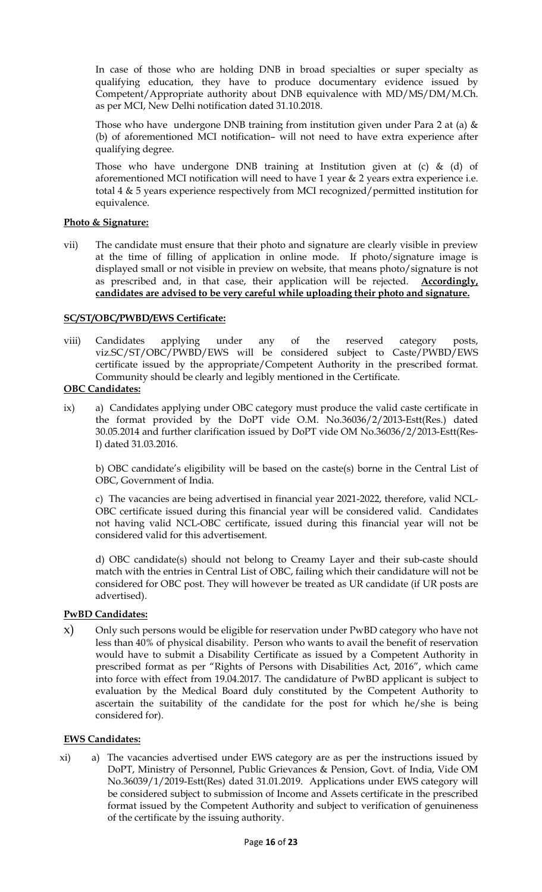In case of those who are holding DNB in broad specialties or super specialty as qualifying education, they have to produce documentary evidence issued by Competent/Appropriate authority about DNB equivalence with MD/MS/DM/M.Ch. as per MCI, New Delhi notification dated 31.10.2018.

Those who have undergone DNB training from institution given under Para 2 at (a)  $\&$ (b) of aforementioned MCI notification– will not need to have extra experience after qualifying degree.

Those who have undergone DNB training at Institution given at  $(c)$  &  $(d)$  of aforementioned MCI notification will need to have 1 year  $\&$  2 years extra experience i.e. total 4 & 5 years experience respectively from MCI recognized/permitted institution for equivalence.

### **Photo & Signature:**

vii) The candidate must ensure that their photo and signature are clearly visible in preview at the time of filling of application in online mode. If photo/signature image is displayed small or not visible in preview on website, that means photo/signature is not as prescribed and, in that case, their application will be rejected. **Accordingly, candidates are advised to be very careful while uploading their photo and signature.**

### **SC/ST/OBC/PWBD/EWS Certificate:**

viii) Candidates applying under any of the reserved category posts, viz.SC/ST/OBC/PWBD/EWS will be considered subject to Caste/PWBD/EWS certificate issued by the appropriate/Competent Authority in the prescribed format. Community should be clearly and legibly mentioned in the Certificate.

### **OBC Candidates:**

ix) a) Candidates applying under OBC category must produce the valid caste certificate in the format provided by the DoPT vide O.M. No.36036/2/2013-Estt(Res.) dated 30.05.2014 and further clarification issued by DoPT vide OM No.36036/2/2013-Estt(Res-I) dated 31.03.2016.

b) OBC candidate's eligibility will be based on the caste(s) borne in the Central List of OBC, Government of India.

c) The vacancies are being advertised in financial year 2021-2022, therefore, valid NCL-OBC certificate issued during this financial year will be considered valid. Candidates not having valid NCL-OBC certificate, issued during this financial year will not be considered valid for this advertisement.

d) OBC candidate(s) should not belong to Creamy Layer and their sub-caste should match with the entries in Central List of OBC, failing which their candidature will not be considered for OBC post. They will however be treated as UR candidate (if UR posts are advertised).

### **PwBD Candidates:**

x) Only such persons would be eligible for reservation under PwBD category who have not less than 40% of physical disability. Person who wants to avail the benefit of reservation would have to submit a Disability Certificate as issued by a Competent Authority in prescribed format as per "Rights of Persons with Disabilities Act, 2016", which came into force with effect from 19.04.2017. The candidature of PwBD applicant is subject to evaluation by the Medical Board duly constituted by the Competent Authority to ascertain the suitability of the candidate for the post for which he/she is being considered for).

### **EWS Candidates:**

xi) a) The vacancies advertised under EWS category are as per the instructions issued by DoPT, Ministry of Personnel, Public Grievances & Pension, Govt. of India, Vide OM No.36039/1/2019-Estt(Res) dated 31.01.2019. Applications under EWS category will be considered subject to submission of Income and Assets certificate in the prescribed format issued by the Competent Authority and subject to verification of genuineness of the certificate by the issuing authority.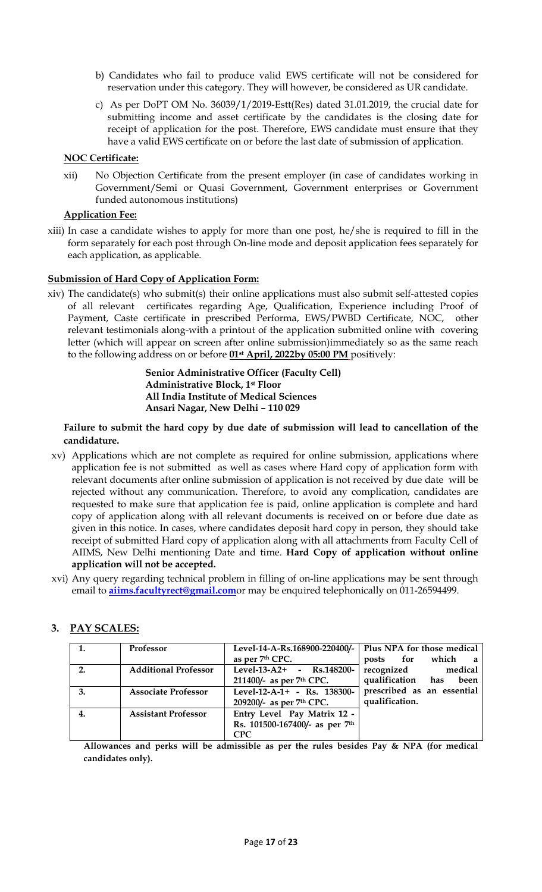- b) Candidates who fail to produce valid EWS certificate will not be considered for reservation under this category. They will however, be considered as UR candidate.
- c) As per DoPT OM No. 36039/1/2019-Estt(Res) dated 31.01.2019, the crucial date for submitting income and asset certificate by the candidates is the closing date for receipt of application for the post. Therefore, EWS candidate must ensure that they have a valid EWS certificate on or before the last date of submission of application.

### **NOC Certificate:**

xii) No Objection Certificate from the present employer (in case of candidates working in Government/Semi or Quasi Government, Government enterprises or Government funded autonomous institutions)

### **Application Fee:**

xiii) In case a candidate wishes to apply for more than one post, he/she is required to fill in the form separately for each post through On-line mode and deposit application fees separately for each application, as applicable.

### **Submission of Hard Copy of Application Form:**

xiv) The candidate(s) who submit(s) their online applications must also submit self-attested copies of all relevant certificates regarding Age, Qualification, Experience including Proof of Payment, Caste certificate in prescribed Performa, EWS/PWBD Certificate, NOC, other relevant testimonials along-with a printout of the application submitted online with covering letter (which will appear on screen after online submission)immediately so as the same reach to the following address on or before **01st April, 2022by 05:00 PM** positively:

> **Senior Administrative Officer (Faculty Cell) Administrative Block, 1st Floor All India Institute of Medical Sciences Ansari Nagar, New Delhi – 110 029**

**Failure to submit the hard copy by due date of submission will lead to cancellation of the candidature.**

- xv) Applications which are not complete as required for online submission, applications where application fee is not submitted as well as cases where Hard copy of application form with relevant documents after online submission of application is not received by due date will be rejected without any communication. Therefore, to avoid any complication, candidates are requested to make sure that application fee is paid, online application is complete and hard copy of application along with all relevant documents is received on or before due date as given in this notice. In cases, where candidates deposit hard copy in person, they should take receipt of submitted Hard copy of application along with all attachments from Faculty Cell of AIIMS, New Delhi mentioning Date and time. **Hard Copy of application without online application will not be accepted.**
- xvi) Any query regarding technical problem in filling of on-line applications may be sent through email to **[aiims.facultyrect@gmail.com](mailto:aiims.facultyrect@gmail.com)**or may be enquired telephonically on 011-26594499.

| 1. | Professor                   | Level-14-A-Rs.168900-220400/-   Plus NPA for those medical |                            |
|----|-----------------------------|------------------------------------------------------------|----------------------------|
|    |                             | as per 7 <sup>th</sup> CPC.                                | posts for which a          |
| 2. | <b>Additional Professor</b> | Level-13-A2+ - $\text{Rs}.148200$ -                        | recognized medical         |
|    |                             | 211400/- as per 7th CPC.                                   | qualification has<br>been  |
| 3. | <b>Associate Professor</b>  | Level-12-A-1+ - Rs. 138300-                                | prescribed as an essential |
|    |                             | 209200/- as per 7th CPC.                                   | qualification.             |
| 4. | <b>Assistant Professor</b>  | Entry Level Pay Matrix 12 -                                |                            |
|    |                             | Rs. 101500-167400/- as per 7th                             |                            |
|    |                             | <b>CPC</b>                                                 |                            |

### **3. PAY SCALES:**

**Allowances and perks will be admissible as per the rules besides Pay & NPA (for medical candidates only).**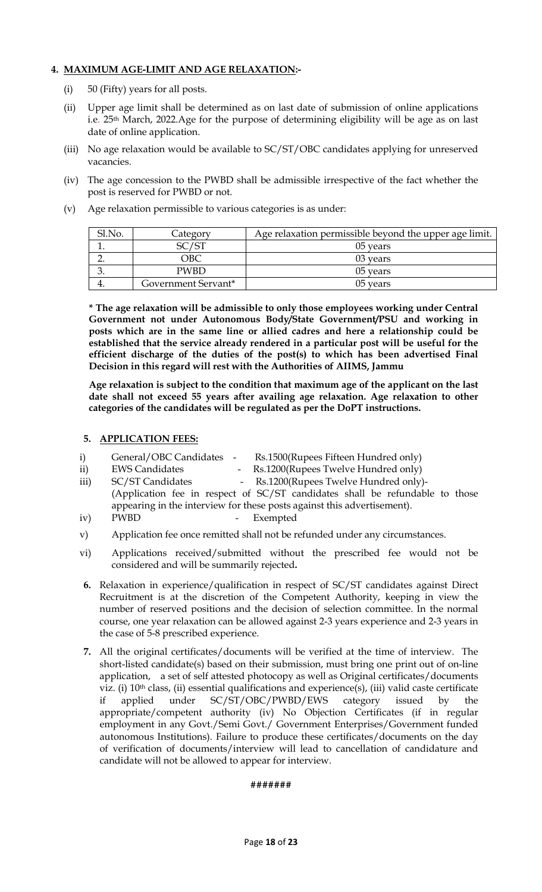### **4. MAXIMUM AGE-LIMIT AND AGE RELAXATION:-**

- (i) 50 (Fifty) years for all posts.
- (ii) Upper age limit shall be determined as on last date of submission of online applications i.e. 25th March, 2022.Age for the purpose of determining eligibility will be age as on last date of online application.
- (iii) No age relaxation would be available to SC/ST/OBC candidates applying for unreserved vacancies.
- (iv) The age concession to the PWBD shall be admissible irrespective of the fact whether the post is reserved for PWBD or not.
- (v) Age relaxation permissible to various categories is as under:

| Sl.No. | Category            | Age relaxation permissible beyond the upper age limit. |
|--------|---------------------|--------------------------------------------------------|
|        | 2C/CT               | 05 years                                               |
|        | )BC                 | 03 years                                               |
|        | <b>PWBD</b>         | 05 years                                               |
|        | Government Servant* | 05 years                                               |

**\* The age relaxation will be admissible to only those employees working under Central Government not under Autonomous Body/State Government/PSU and working in posts which are in the same line or allied cadres and here a relationship could be established that the service already rendered in a particular post will be useful for the efficient discharge of the duties of the post(s) to which has been advertised Final Decision in this regard will rest with the Authorities of AIIMS, Jammu**

**Age relaxation is subject to the condition that maximum age of the applicant on the last date shall not exceed 55 years after availing age relaxation. Age relaxation to other categories of the candidates will be regulated as per the DoPT instructions.**

### **5. APPLICATION FEES:**

- i) General/OBC Candidates Rs.1500(Rupees Fifteen Hundred only)
- ii) EWS Candidates Rs.1200 (Rupees Twelve Hundred only)
- iii) SC/ST Candidates Rs.1200(Rupees Twelve Hundred only)-(Application fee in respect of SC/ST candidates shall be refundable to those appearing in the interview for these posts against this advertisement).
- iv) PWBD Exempted
- v) Application fee once remitted shall not be refunded under any circumstances.
- vi) Applications received/submitted without the prescribed fee would not be considered and will be summarily rejected**.**
- **6.** Relaxation in experience/qualification in respect of SC/ST candidates against Direct Recruitment is at the discretion of the Competent Authority, keeping in view the number of reserved positions and the decision of selection committee. In the normal course, one year relaxation can be allowed against 2-3 years experience and 2-3 years in the case of 5-8 prescribed experience.
- **7.** All the original certificates/documents will be verified at the time of interview. The short-listed candidate(s) based on their submission, must bring one print out of on-line application, a set of self attested photocopy as well as Original certificates/documents viz. (i) 10th class, (ii) essential qualifications and experience(s), (iii) valid caste certificate if applied under SC/ST/OBC/PWBD/EWS category issued by the appropriate/competent authority (iv) No Objection Certificates (if in regular employment in any Govt./Semi Govt./ Government Enterprises/Government funded autonomous Institutions). Failure to produce these certificates/documents on the day of verification of documents/interview will lead to cancellation of candidature and candidate will not be allowed to appear for interview.

### **#######**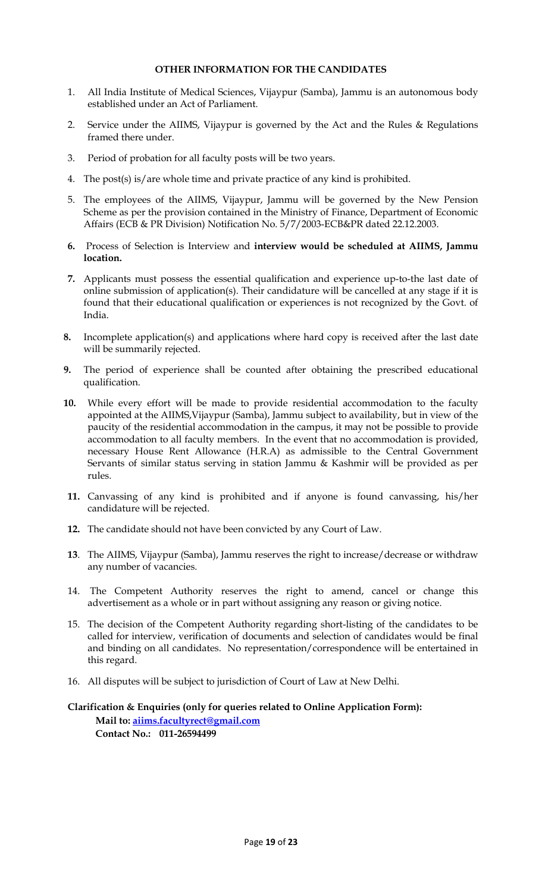### **OTHER INFORMATION FOR THE CANDIDATES**

- 1. All India Institute of Medical Sciences, Vijaypur (Samba), Jammu is an autonomous body established under an Act of Parliament.
- 2. Service under the AIIMS, Vijaypur is governed by the Act and the Rules & Regulations framed there under.
- 3. Period of probation for all faculty posts will be two years.
- 4. The post(s) is/are whole time and private practice of any kind is prohibited.
- 5. The employees of the AIIMS, Vijaypur, Jammu will be governed by the New Pension Scheme as per the provision contained in the Ministry of Finance, Department of Economic Affairs (ECB & PR Division) Notification No. 5/7/2003-ECB&PR dated 22.12.2003.
- **6.** Process of Selection is Interview and **interview would be scheduled at AIIMS, Jammu location.**
- **7.** Applicants must possess the essential qualification and experience up-to-the last date of online submission of application(s). Their candidature will be cancelled at any stage if it is found that their educational qualification or experiences is not recognized by the Govt. of India.
- **8.** Incomplete application(s) and applications where hard copy is received after the last date will be summarily rejected.
- **9.** The period of experience shall be counted after obtaining the prescribed educational qualification.
- **10.** While every effort will be made to provide residential accommodation to the faculty appointed at the AIIMS,Vijaypur (Samba), Jammu subject to availability, but in view of the paucity of the residential accommodation in the campus, it may not be possible to provide accommodation to all faculty members. In the event that no accommodation is provided, necessary House Rent Allowance (H.R.A) as admissible to the Central Government Servants of similar status serving in station Jammu & Kashmir will be provided as per rules.
- **11.** Canvassing of any kind is prohibited and if anyone is found canvassing, his/her candidature will be rejected.
- **12.** The candidate should not have been convicted by any Court of Law.
- **13**. The AIIMS, Vijaypur (Samba), Jammu reserves the right to increase/decrease or withdraw any number of vacancies.
- 14. The Competent Authority reserves the right to amend, cancel or change this advertisement as a whole or in part without assigning any reason or giving notice.
- 15. The decision of the Competent Authority regarding short-listing of the candidates to be called for interview, verification of documents and selection of candidates would be final and binding on all candidates. No representation/correspondence will be entertained in this regard.
- 16. All disputes will be subject to jurisdiction of Court of Law at New Delhi.

### **Clarification & Enquiries (only for queries related to Online Application Form): Mail to: [aiims.facultyrect@gmail.com](mailto:aiims.facultyrect@gmail.com) Contact No.: 011-26594499**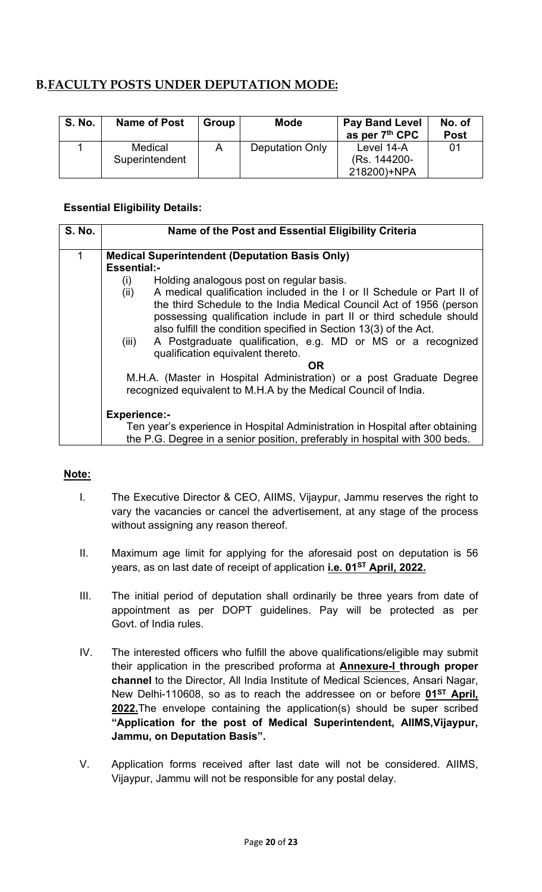# **B.FACULTY POSTS UNDER DEPUTATION MODE:**

| <b>S. No.</b> | <b>Name of Post</b>       | Group | <b>Mode</b>            | <b>Pay Band Level</b><br>as per 7 <sup>th</sup> CPC | No. of<br><b>Post</b> |
|---------------|---------------------------|-------|------------------------|-----------------------------------------------------|-----------------------|
|               | Medical<br>Superintendent |       | <b>Deputation Only</b> | Level 14-A<br>(Rs. 144200-<br>218200)+NPA           | 01                    |

### **Essential Eligibility Details:**

| <b>S. No.</b> | Name of the Post and Essential Eligibility Criteria                            |  |  |  |  |  |
|---------------|--------------------------------------------------------------------------------|--|--|--|--|--|
| 1             | <b>Medical Superintendent (Deputation Basis Only)</b>                          |  |  |  |  |  |
|               | <b>Essential:-</b>                                                             |  |  |  |  |  |
|               | Holding analogous post on regular basis.<br>(i)                                |  |  |  |  |  |
|               | A medical qualification included in the I or II Schedule or Part II of<br>(ii) |  |  |  |  |  |
|               | the third Schedule to the India Medical Council Act of 1956 (person            |  |  |  |  |  |
|               | possessing qualification include in part II or third schedule should           |  |  |  |  |  |
|               | also fulfill the condition specified in Section 13(3) of the Act.              |  |  |  |  |  |
|               | A Postgraduate qualification, e.g. MD or MS or a recognized<br>(iii)           |  |  |  |  |  |
|               | qualification equivalent thereto.                                              |  |  |  |  |  |
|               | OR.                                                                            |  |  |  |  |  |
|               | M.H.A. (Master in Hospital Administration) or a post Graduate Degree           |  |  |  |  |  |
|               | recognized equivalent to M.H.A by the Medical Council of India.                |  |  |  |  |  |
|               |                                                                                |  |  |  |  |  |
|               | <b>Experience:-</b>                                                            |  |  |  |  |  |
|               | Ten year's experience in Hospital Administration in Hospital after obtaining   |  |  |  |  |  |
|               | the P.G. Degree in a senior position, preferably in hospital with 300 beds.    |  |  |  |  |  |

### **Note:**

- I. The Executive Director & CEO, AIIMS, Vijaypur, Jammu reserves the right to vary the vacancies or cancel the advertisement, at any stage of the process without assigning any reason thereof.
- II. Maximum age limit for applying for the aforesaid post on deputation is 56 years, as on last date of receipt of application **i.e. 01ST April, 2022.**
- III. The initial period of deputation shall ordinarily be three years from date of appointment as per DOPT guidelines. Pay will be protected as per Govt. of India rules.
- IV. The interested officers who fulfill the above qualifications/eligible may submit their application in the prescribed proforma at **Annexure-I through proper channel** to the Director, All India Institute of Medical Sciences, Ansari Nagar, New Delhi-110608, so as to reach the addressee on or before **01ST April, 2022.**The envelope containing the application(s) should be super scribed **"Application for the post of Medical Superintendent, AIIMS,Vijaypur, Jammu, on Deputation Basis".**
- V. Application forms received after last date will not be considered. AIIMS, Vijaypur, Jammu will not be responsible for any postal delay.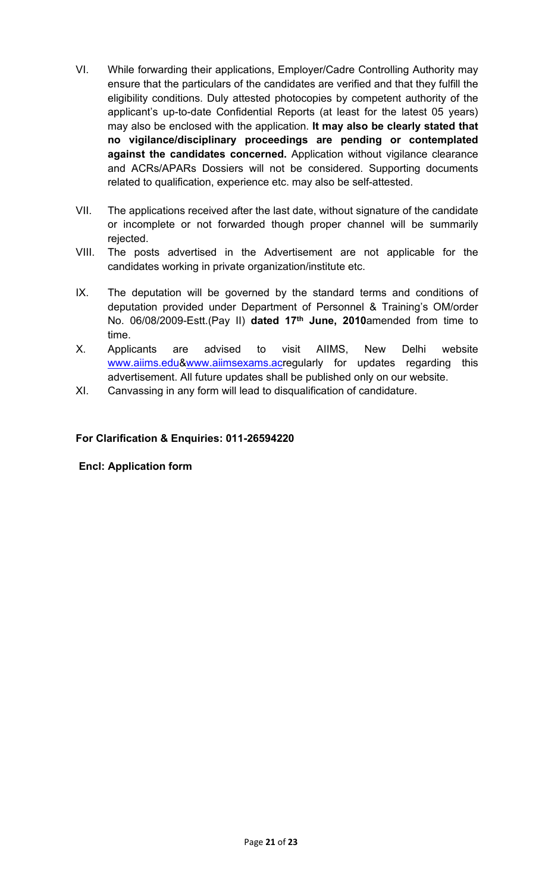- VI. While forwarding their applications, Employer/Cadre Controlling Authority may ensure that the particulars of the candidates are verified and that they fulfill the eligibility conditions. Duly attested photocopies by competent authority of the applicant's up-to-date Confidential Reports (at least for the latest 05 years) may also be enclosed with the application. **It may also be clearly stated that no vigilance/disciplinary proceedings are pending or contemplated against the candidates concerned.** Application without vigilance clearance and ACRs/APARs Dossiers will not be considered. Supporting documents related to qualification, experience etc. may also be self-attested.
- VII. The applications received after the last date, without signature of the candidate or incomplete or not forwarded though proper channel will be summarily rejected.
- VIII. The posts advertised in the Advertisement are not applicable for the candidates working in private organization/institute etc.
- IX. The deputation will be governed by the standard terms and conditions of deputation provided under Department of Personnel & Training's OM/order No. 06/08/2009-Estt.(Pay II) **dated 17th June, 2010**amended from time to time.
- X. Applicants are advised to visit AIIMS, New Delhi website [www.aiims.edu&](http://www.aiims.edu/)[www.aiimsexams.acr](http://www.aiimsexams.ac/)egularly for updates regarding this advertisement. All future updates shall be published only on our website.
- XI. Canvassing in any form will lead to disqualification of candidature.

### **For Clarification & Enquiries: 011-26594220**

### **Encl: Application form**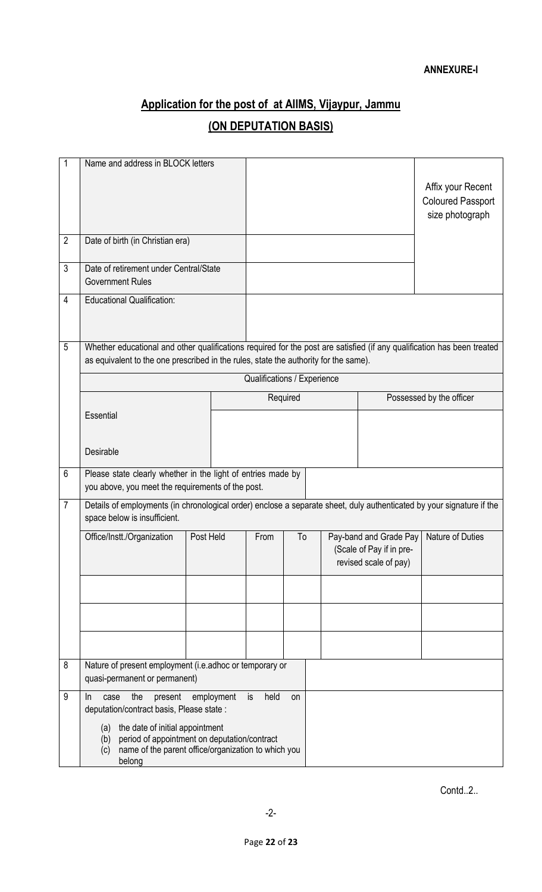# **Application for the post of at AIIMS, Vijaypur, Jammu (ON DEPUTATION BASIS)**

| 1              | Name and address in BLOCK letters                                                                                                                                                                                                                  |            |                             |          |  |                                                                             |                                                                  |
|----------------|----------------------------------------------------------------------------------------------------------------------------------------------------------------------------------------------------------------------------------------------------|------------|-----------------------------|----------|--|-----------------------------------------------------------------------------|------------------------------------------------------------------|
|                |                                                                                                                                                                                                                                                    |            |                             |          |  |                                                                             | Affix your Recent<br><b>Coloured Passport</b><br>size photograph |
| $\overline{2}$ | Date of birth (in Christian era)                                                                                                                                                                                                                   |            |                             |          |  |                                                                             |                                                                  |
| $\mathfrak{Z}$ | Date of retirement under Central/State<br><b>Government Rules</b>                                                                                                                                                                                  |            |                             |          |  |                                                                             |                                                                  |
| 4              | <b>Educational Qualification:</b>                                                                                                                                                                                                                  |            |                             |          |  |                                                                             |                                                                  |
| 5              | Whether educational and other qualifications required for the post are satisfied (if any qualification has been treated<br>as equivalent to the one prescribed in the rules, state the authority for the same).                                    |            |                             |          |  |                                                                             |                                                                  |
|                |                                                                                                                                                                                                                                                    |            | Qualifications / Experience |          |  |                                                                             |                                                                  |
|                |                                                                                                                                                                                                                                                    |            |                             | Required |  |                                                                             | Possessed by the officer                                         |
|                | <b>Essential</b>                                                                                                                                                                                                                                   |            |                             |          |  |                                                                             |                                                                  |
|                | Desirable                                                                                                                                                                                                                                          |            |                             |          |  |                                                                             |                                                                  |
| $6\phantom{1}$ | Please state clearly whether in the light of entries made by<br>you above, you meet the requirements of the post.                                                                                                                                  |            |                             |          |  |                                                                             |                                                                  |
| $\overline{7}$ | Details of employments (in chronological order) enclose a separate sheet, duly authenticated by your signature if the<br>space below is insufficient.                                                                                              |            |                             |          |  |                                                                             |                                                                  |
|                | Office/Instt./Organization                                                                                                                                                                                                                         | Post Held  | From                        | To       |  | Pay-band and Grade Pay<br>(Scale of Pay if in pre-<br>revised scale of pay) | Nature of Duties                                                 |
|                |                                                                                                                                                                                                                                                    |            |                             |          |  |                                                                             |                                                                  |
|                |                                                                                                                                                                                                                                                    |            |                             |          |  |                                                                             |                                                                  |
|                |                                                                                                                                                                                                                                                    |            |                             |          |  |                                                                             |                                                                  |
| 8              | Nature of present employment (i.e.adhoc or temporary or<br>quasi-permanent or permanent)                                                                                                                                                           |            |                             |          |  |                                                                             |                                                                  |
| 9              | the<br>present<br>case<br>In<br>deputation/contract basis, Please state :<br>the date of initial appointment<br>(a)<br>period of appointment on deputation/contract<br>(b)<br>name of the parent office/organization to which you<br>(c)<br>belong | employment | held<br>is                  | on       |  |                                                                             |                                                                  |

Contd..2..